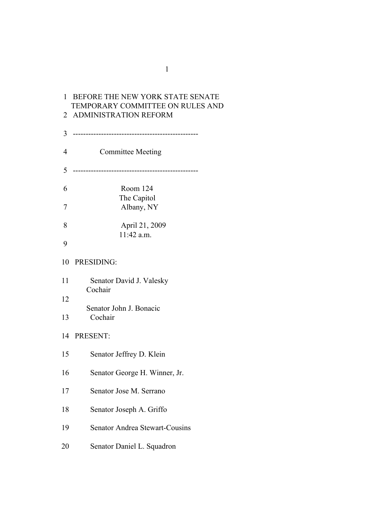# BEFORE THE NEW YORK STATE SENATE TEMPORARY COMMITTEE ON RULES AND ADMINISTRATION REFORM ------------------------------------------------- Committee Meeting ------------------------------------------------- Room 124 The Capitol Albany, NY April 21, 2009 11:42 a.m. PRESIDING: Senator David J. Valesky Cochair Senator John J. Bonacic Cochair PRESENT: Senator Jeffrey D. Klein Senator George H. Winner, Jr. Senator Jose M. Serrano Senator Joseph A. Griffo Senator Andrea Stewart-Cousins Senator Daniel L. Squadron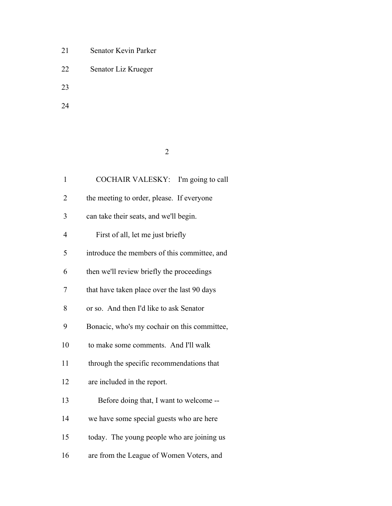- Senator Kevin Parker
- Senator Liz Krueger
- 
- 

| ٦ |  |
|---|--|

| $\mathbf{1}$   | COCHAIR VALESKY: I'm going to call           |
|----------------|----------------------------------------------|
| 2              | the meeting to order, please. If everyone    |
| 3              | can take their seats, and we'll begin.       |
| $\overline{4}$ | First of all, let me just briefly            |
| 5              | introduce the members of this committee, and |
| 6              | then we'll review briefly the proceedings    |
| 7              | that have taken place over the last 90 days  |
| 8              | or so. And then I'd like to ask Senator      |
| 9              | Bonacic, who's my cochair on this committee, |
| 10             | to make some comments. And I'll walk         |
| 11             | through the specific recommendations that    |
| 12             | are included in the report.                  |
| 13             | Before doing that, I want to welcome --      |
| 14             | we have some special guests who are here     |
| 15             | today. The young people who are joining us   |
| 16             | are from the League of Women Voters, and     |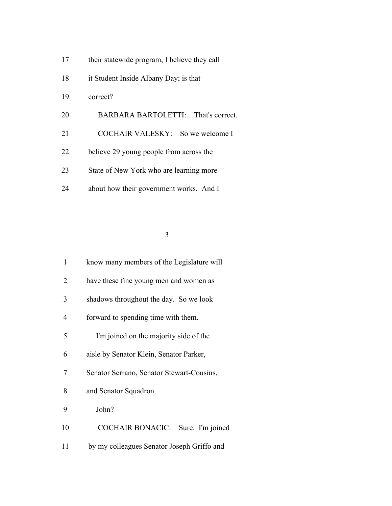- 17 their statewide program, I believe they call
- it Student Inside Albany Day; is that
- correct?
- BARBARA BARTOLETTI: That's correct.
- 21 COCHAIR VALESKY: So we welcome I
- believe 29 young people from across the
- State of New York who are learning more
- about how their government works. And I

| 1  | know many members of the Legislature will   |
|----|---------------------------------------------|
| 2  | have these fine young men and women as      |
| 3  | shadows throughout the day. So we look      |
| 4  | forward to spending time with them.         |
| 5  | I'm joined on the majority side of the      |
| 6  | aisle by Senator Klein, Senator Parker,     |
| 7  | Senator Serrano, Senator Stewart-Cousins,   |
| 8  | and Senator Squadron.                       |
| 9  | John?                                       |
| 10 | <b>COCHAIR BONACIC:</b><br>Sure. I'm joined |
| 11 | by my colleagues Senator Joseph Griffo and  |
|    |                                             |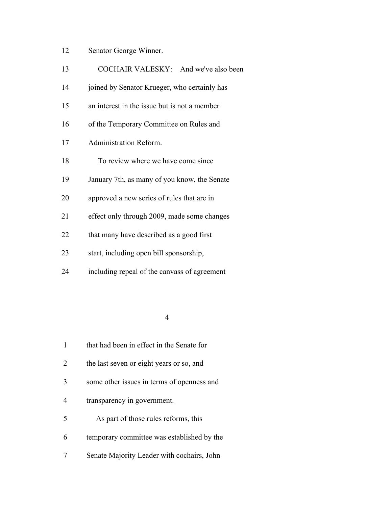| 12 | Senator George Winner. |  |
|----|------------------------|--|
|----|------------------------|--|

| 13 | COCHAIR VALESKY: And we've also been         |
|----|----------------------------------------------|
| 14 | joined by Senator Krueger, who certainly has |
| 15 | an interest in the issue but is not a member |
| 16 | of the Temporary Committee on Rules and      |
| 17 | Administration Reform.                       |
| 18 | To review where we have come since           |
| 19 | January 7th, as many of you know, the Senate |
| 20 | approved a new series of rules that are in   |
| 21 | effect only through 2009, made some changes  |
| 22 | that many have described as a good first     |
| 23 | start, including open bill sponsorship,      |
| 24 | including repeal of the canvass of agreement |
|    |                                              |

|   | that had been in effect in the Senate for  |
|---|--------------------------------------------|
| 2 | the last seven or eight years or so, and   |
|   | some other issues in terms of openness and |
|   | transparency in government.                |
| 5 | As part of those rules reforms, this       |
| 6 | temporary committee was established by the |
|   | Senate Majority Leader with cochairs, John |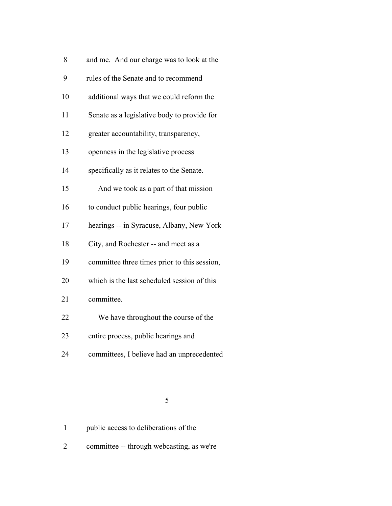| 8  | and me. And our charge was to look at the    |
|----|----------------------------------------------|
| 9  | rules of the Senate and to recommend         |
| 10 | additional ways that we could reform the     |
| 11 | Senate as a legislative body to provide for  |
| 12 | greater accountability, transparency,        |
| 13 | openness in the legislative process          |
| 14 | specifically as it relates to the Senate.    |
| 15 | And we took as a part of that mission        |
| 16 | to conduct public hearings, four public      |
| 17 | hearings -- in Syracuse, Albany, New York    |
| 18 | City, and Rochester -- and meet as a         |
| 19 | committee three times prior to this session, |
| 20 | which is the last scheduled session of this  |
| 21 | committee.                                   |
| 22 | We have throughout the course of the         |
| 23 | entire process, public hearings and          |
| 24 | committees, I believe had an unprecedented   |
|    |                                              |

committee -- through webcasting, as we're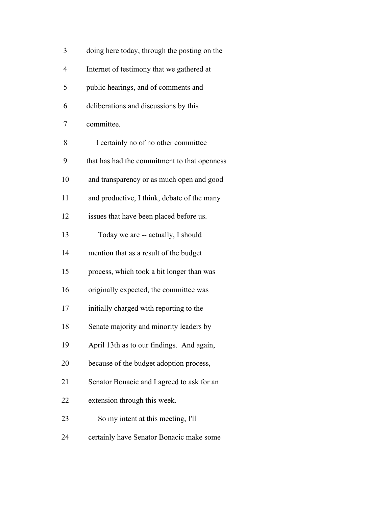| 3              | doing here today, through the posting on the |
|----------------|----------------------------------------------|
| $\overline{4}$ | Internet of testimony that we gathered at    |
| 5              | public hearings, and of comments and         |
| 6              | deliberations and discussions by this        |
| 7              | committee.                                   |
| 8              | I certainly no of no other committee         |
| 9              | that has had the commitment to that openness |
| 10             | and transparency or as much open and good    |
| 11             | and productive, I think, debate of the many  |
| 12             | issues that have been placed before us.      |
| 13             | Today we are -- actually, I should           |
| 14             | mention that as a result of the budget       |
| 15             | process, which took a bit longer than was    |
| 16             | originally expected, the committee was       |
| 17             | initially charged with reporting to the      |
| 18             | Senate majority and minority leaders by      |
| 19             | April 13th as to our findings. And again,    |
| 20             | because of the budget adoption process,      |
| 21             | Senator Bonacic and I agreed to ask for an   |
| 22             | extension through this week.                 |
| 23             | So my intent at this meeting, I'll           |
| 24             | certainly have Senator Bonacic make some     |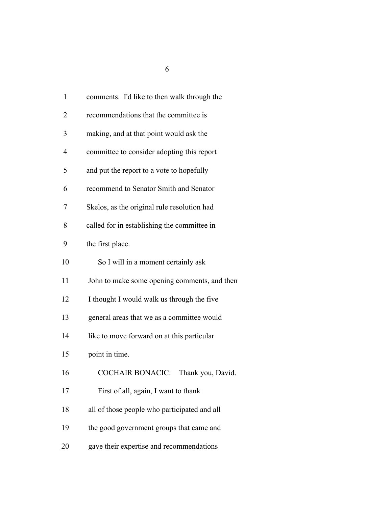| $\mathbf{1}$ | comments. I'd like to then walk through the  |
|--------------|----------------------------------------------|
| 2            | recommendations that the committee is        |
| 3            | making, and at that point would ask the      |
| 4            | committee to consider adopting this report   |
| 5            | and put the report to a vote to hopefully    |
| 6            | recommend to Senator Smith and Senator       |
| 7            | Skelos, as the original rule resolution had  |
| 8            | called for in establishing the committee in  |
| 9            | the first place.                             |
| 10           | So I will in a moment certainly ask          |
| 11           | John to make some opening comments, and then |
| 12           | I thought I would walk us through the five   |
| 13           | general areas that we as a committee would   |
| 14           | like to move forward on at this particular   |
| 15           | point in time.                               |
| 16           | <b>COCHAIR BONACIC:</b><br>Thank you, David. |
| 17           | First of all, again, I want to thank         |
| 18           | all of those people who participated and all |
| 19           | the good government groups that came and     |
| 20           | gave their expertise and recommendations     |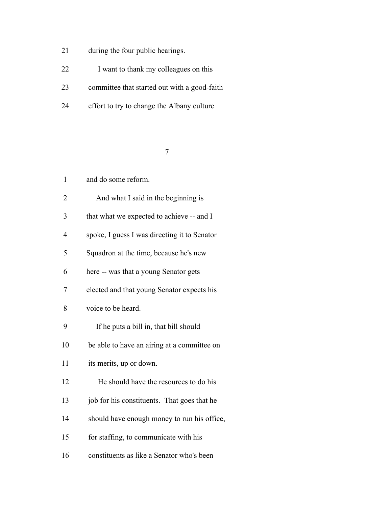- during the four public hearings.
- 22 I want to thank my colleagues on this
- committee that started out with a good-faith
- effort to try to change the Albany culture

| $\mathbf{1}$   | and do some reform.                          |
|----------------|----------------------------------------------|
| $\overline{2}$ | And what I said in the beginning is          |
| 3              | that what we expected to achieve -- and I    |
| $\overline{4}$ | spoke, I guess I was directing it to Senator |
| 5              | Squadron at the time, because he's new       |
| 6              | here -- was that a young Senator gets        |
| 7              | elected and that young Senator expects his   |
| 8              | voice to be heard.                           |
| 9              | If he puts a bill in, that bill should       |
| 10             | be able to have an airing at a committee on  |
| 11             | its merits, up or down.                      |
| 12             | He should have the resources to do his       |
| 13             | job for his constituents. That goes that he  |
| 14             | should have enough money to run his office,  |
| 15             | for staffing, to communicate with his        |
| 16             | constituents as like a Senator who's been    |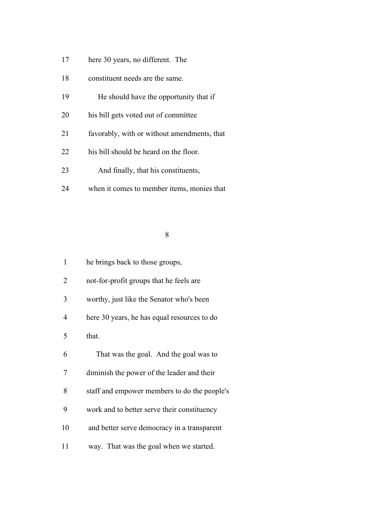- here 30 years, no different. The
- constituent needs are the same.
- He should have the opportunity that if
- his bill gets voted out of committee
- favorably, with or without amendments, that
- his bill should be heard on the floor.
- And finally, that his constituents,
- when it comes to member items, monies that

| 1  | he brings back to those groups,              |
|----|----------------------------------------------|
| 2  | not-for-profit groups that he feels are      |
| 3  | worthy, just like the Senator who's been     |
| 4  | here 30 years, he has equal resources to do  |
| 5  | that.                                        |
| 6  | That was the goal. And the goal was to       |
| 7  | diminish the power of the leader and their   |
| 8  | staff and empower members to do the people's |
| 9  | work and to better serve their constituency  |
| 10 | and better serve democracy in a transparent  |
| 11 | way. That was the goal when we started.      |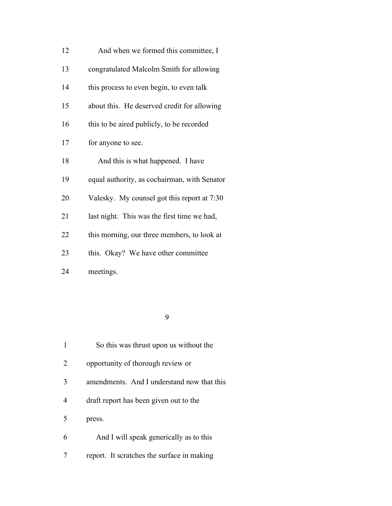| 12 | And when we formed this committee, I         |
|----|----------------------------------------------|
| 13 | congratulated Malcolm Smith for allowing     |
| 14 | this process to even begin, to even talk     |
| 15 | about this. He deserved credit for allowing  |
| 16 | this to be aired publicly, to be recorded    |
| 17 | for anyone to see.                           |
| 18 | And this is what happened. I have            |
| 19 | equal authority, as cochairman, with Senator |
| 20 | Valesky. My counsel got this report at 7:30  |
| 21 | last night. This was the first time we had,  |
| 22 | this morning, our three members, to look at  |
| 23 | this. Okay? We have other committee          |
| 24 | meetings.                                    |

|   | So this was thrust upon us without the     |
|---|--------------------------------------------|
| 2 | opportunity of thorough review or          |
| 3 | amendments. And I understand now that this |
| 4 | draft report has been given out to the     |
| 5 | press.                                     |
| 6 | And I will speak generically as to this    |
|   | report. It scratches the surface in making |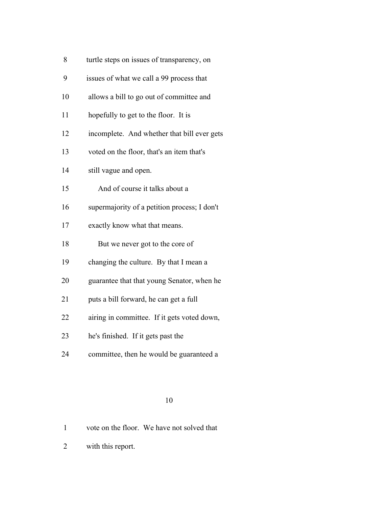- turtle steps on issues of transparency, on
- issues of what we call a 99 process that
- allows a bill to go out of committee and
- hopefully to get to the floor. It is
- incomplete. And whether that bill ever gets
- voted on the floor, that's an item that's
- still vague and open.
- And of course it talks about a
- supermajority of a petition process; I don't
- exactly know what that means.
- 18 But we never got to the core of
- changing the culture. By that I mean a
- guarantee that that young Senator, when he
- puts a bill forward, he can get a full
- airing in committee. If it gets voted down,
- he's finished. If it gets past the
- committee, then he would be guaranteed a

- vote on the floor. We have not solved that
- with this report.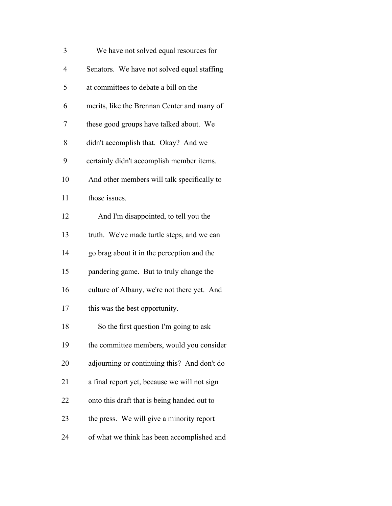| 3              | We have not solved equal resources for       |
|----------------|----------------------------------------------|
| $\overline{4}$ | Senators. We have not solved equal staffing  |
| 5              | at committees to debate a bill on the        |
| 6              | merits, like the Brennan Center and many of  |
| 7              | these good groups have talked about. We      |
| 8              | didn't accomplish that. Okay? And we         |
| 9              | certainly didn't accomplish member items.    |
| 10             | And other members will talk specifically to  |
| 11             | those issues.                                |
| 12             | And I'm disappointed, to tell you the        |
| 13             | truth. We've made turtle steps, and we can   |
| 14             | go brag about it in the perception and the   |
| 15             | pandering game. But to truly change the      |
| 16             | culture of Albany, we're not there yet. And  |
| 17             | this was the best opportunity.               |
| 18             | So the first question I'm going to ask       |
| 19             | the committee members, would you consider    |
| 20             | adjourning or continuing this? And don't do  |
| 21             | a final report yet, because we will not sign |
| 22             | onto this draft that is being handed out to  |
| 23             | the press. We will give a minority report    |
| 24             | of what we think has been accomplished and   |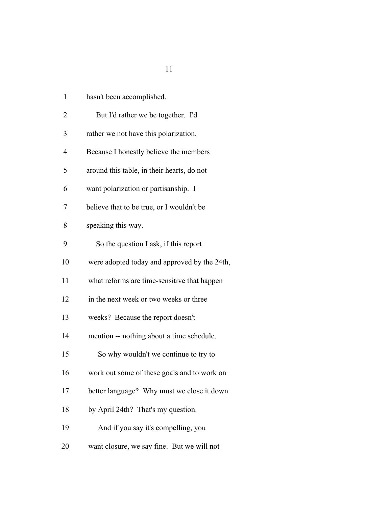| 1              | hasn't been accomplished.                    |
|----------------|----------------------------------------------|
| $\overline{2}$ | But I'd rather we be together. I'd           |
| 3              | rather we not have this polarization.        |
| 4              | Because I honestly believe the members       |
| 5              | around this table, in their hearts, do not   |
| 6              | want polarization or partisanship. I         |
| 7              | believe that to be true, or I wouldn't be    |
| 8              | speaking this way.                           |
| 9              | So the question I ask, if this report        |
| 10             | were adopted today and approved by the 24th, |
| 11             | what reforms are time-sensitive that happen  |
| 12             | in the next week or two weeks or three       |
| 13             | weeks? Because the report doesn't            |
| 14             | mention -- nothing about a time schedule.    |
| 15             | So why wouldn't we continue to try to        |
| 16             | work out some of these goals and to work on  |
| 17             | better language? Why must we close it down   |
| 18             | by April 24th? That's my question.           |
| 19             | And if you say it's compelling, you          |
| 20             | want closure, we say fine. But we will not   |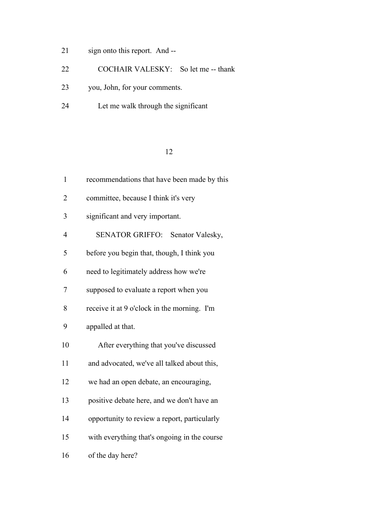- sign onto this report. And --
- COCHAIR VALESKY: So let me -- thank
- you, John, for your comments.
- Let me walk through the significant

| $\mathbf{1}$   | recommendations that have been made by this  |  |
|----------------|----------------------------------------------|--|
| $\overline{2}$ | committee, because I think it's very         |  |
| 3              | significant and very important.              |  |
| 4              | SENATOR GRIFFO: Senator Valesky,             |  |
| 5              | before you begin that, though, I think you   |  |
| 6              | need to legitimately address how we're       |  |
| 7              | supposed to evaluate a report when you       |  |
| 8              | receive it at 9 o'clock in the morning. I'm  |  |
| 9              | appalled at that.                            |  |
| 10             | After everything that you've discussed       |  |
| 11             | and advocated, we've all talked about this,  |  |
| 12             | we had an open debate, an encouraging,       |  |
| 13             | positive debate here, and we don't have an   |  |
| 14             | opportunity to review a report, particularly |  |
| 15             | with everything that's ongoing in the course |  |
| 16             | of the day here?                             |  |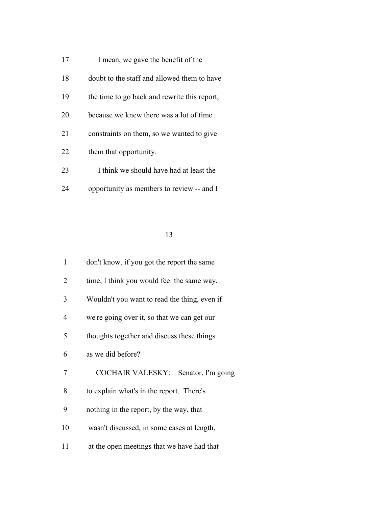- 17 I mean, we gave the benefit of the
- doubt to the staff and allowed them to have
- the time to go back and rewrite this report,
- because we knew there was a lot of time
- constraints on them, so we wanted to give
- them that opportunity.
- 23 I think we should have had at least the
- opportunity as members to review -- and I

| 1  | don't know, if you got the report the same    |
|----|-----------------------------------------------|
| 2  | time, I think you would feel the same way.    |
| 3  | Wouldn't you want to read the thing, even if  |
| 4  | we're going over it, so that we can get our   |
| 5  | thoughts together and discuss these things    |
| 6  | as we did before?                             |
| 7  | <b>COCHAIR VALESKY:</b><br>Senator, I'm going |
| 8  | to explain what's in the report. There's      |
| 9  | nothing in the report, by the way, that       |
| 10 | wasn't discussed, in some cases at length,    |
| 11 | at the open meetings that we have had that    |
|    |                                               |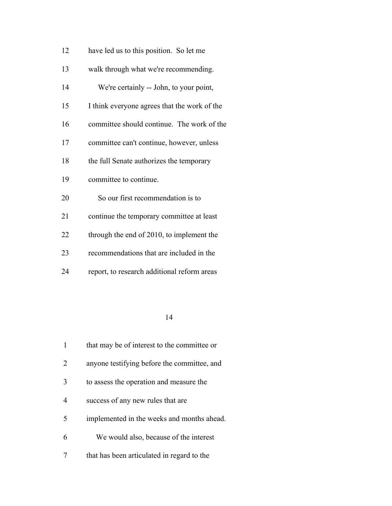| 12 | have led us to this position. So let me      |
|----|----------------------------------------------|
| 13 | walk through what we're recommending.        |
| 14 | We're certainly -- John, to your point,      |
| 15 | I think everyone agrees that the work of the |
| 16 | committee should continue. The work of the   |
| 17 | committee can't continue, however, unless    |
| 18 | the full Senate authorizes the temporary     |
| 19 | committee to continue.                       |
| 20 | So our first recommendation is to            |
| 21 | continue the temporary committee at least    |
| 22 | through the end of 2010, to implement the    |
| 23 | recommendations that are included in the     |
| 24 | report, to research additional reform areas  |

|                             | that may be of interest to the committee or |
|-----------------------------|---------------------------------------------|
| $\mathcal{D}_{\mathcal{L}}$ | anyone testifying before the committee, and |
| 3                           | to assess the operation and measure the     |
| 4                           | success of any new rules that are           |
| 5                           | implemented in the weeks and months ahead.  |
| 6                           | We would also, because of the interest      |
|                             | that has been articulated in regard to the  |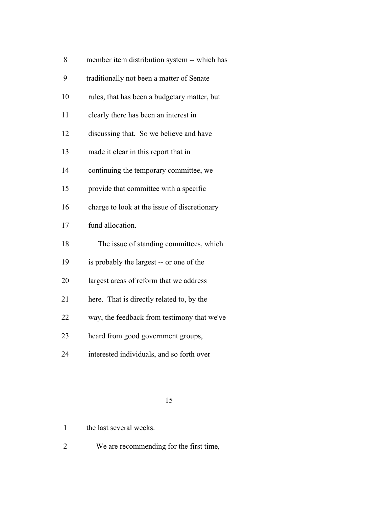| 8 | member item distribution system -- which has |  |  |  |  |
|---|----------------------------------------------|--|--|--|--|
|---|----------------------------------------------|--|--|--|--|

- traditionally not been a matter of Senate
- rules, that has been a budgetary matter, but
- clearly there has been an interest in
- discussing that. So we believe and have
- made it clear in this report that in
- continuing the temporary committee, we
- provide that committee with a specific
- 16 charge to look at the issue of discretionary
- fund allocation.
- The issue of standing committees, which
- is probably the largest -- or one of the
- largest areas of reform that we address
- here. That is directly related to, by the
- way, the feedback from testimony that we've
- heard from good government groups,
- interested individuals, and so forth over

- the last several weeks.
- We are recommending for the first time,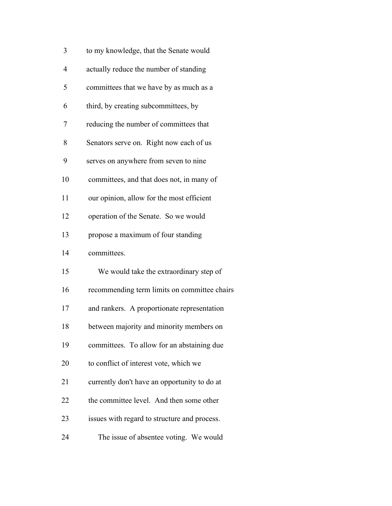| 3  | to my knowledge, that the Senate would       |
|----|----------------------------------------------|
| 4  | actually reduce the number of standing       |
| 5  | committees that we have by as much as a      |
| 6  | third, by creating subcommittees, by         |
| 7  | reducing the number of committees that       |
| 8  | Senators serve on. Right now each of us      |
| 9  | serves on anywhere from seven to nine        |
| 10 | committees, and that does not, in many of    |
| 11 | our opinion, allow for the most efficient    |
| 12 | operation of the Senate. So we would         |
| 13 | propose a maximum of four standing           |
| 14 | committees.                                  |
| 15 | We would take the extraordinary step of      |
| 16 | recommending term limits on committee chairs |
| 17 | and rankers. A proportionate representation  |
| 18 | between majority and minority members on     |
| 19 | committees. To allow for an abstaining due   |
| 20 | to conflict of interest vote, which we       |
| 21 | currently don't have an opportunity to do at |
| 22 | the committee level. And then some other     |
| 23 | issues with regard to structure and process. |
| 24 | The issue of absentee voting. We would       |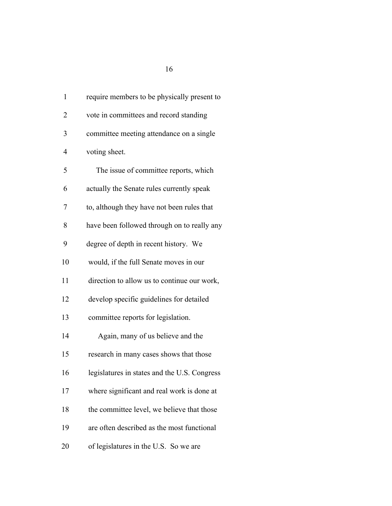| $\mathbf{1}$ | require members to be physically present to  |
|--------------|----------------------------------------------|
| 2            | vote in committees and record standing       |
| 3            | committee meeting attendance on a single     |
| 4            | voting sheet.                                |
| 5            | The issue of committee reports, which        |
| 6            | actually the Senate rules currently speak    |
| 7            | to, although they have not been rules that   |
| 8            | have been followed through on to really any  |
| 9            | degree of depth in recent history. We        |
| 10           | would, if the full Senate moves in our       |
| 11           | direction to allow us to continue our work,  |
| 12           | develop specific guidelines for detailed     |
| 13           | committee reports for legislation.           |
| 14           | Again, many of us believe and the            |
| 15           | research in many cases shows that those      |
| 16           | legislatures in states and the U.S. Congress |
| 17           | where significant and real work is done at   |
| 18           | the committee level, we believe that those   |
| 19           | are often described as the most functional   |
| 20           | of legislatures in the U.S. So we are        |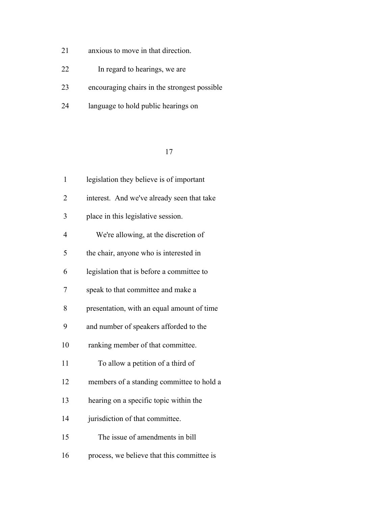- anxious to move in that direction.
- In regard to hearings, we are
- encouraging chairs in the strongest possible
- language to hold public hearings on

| $\mathbf{1}$   | legislation they believe is of important   |
|----------------|--------------------------------------------|
| $\overline{2}$ | interest. And we've already seen that take |
| 3              | place in this legislative session.         |
| 4              | We're allowing, at the discretion of       |
| 5              | the chair, anyone who is interested in     |
| 6              | legislation that is before a committee to  |
| 7              | speak to that committee and make a         |
| 8              | presentation, with an equal amount of time |
| 9              | and number of speakers afforded to the     |
| 10             | ranking member of that committee.          |
| 11             | To allow a petition of a third of          |
| 12             | members of a standing committee to hold a  |
| 13             | hearing on a specific topic within the     |
| 14             | jurisdiction of that committee.            |
| 15             | The issue of amendments in bill            |
| 16             | process, we believe that this committee is |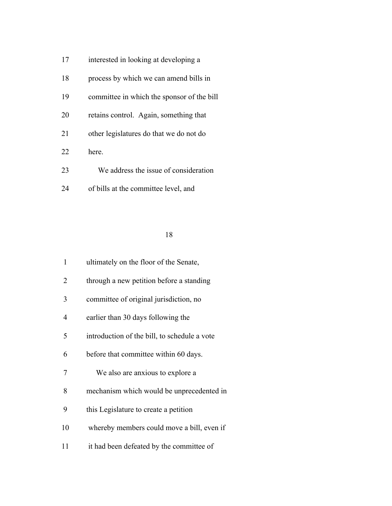- 17 interested in looking at developing a
- 18 process by which we can amend bills in
- committee in which the sponsor of the bill
- retains control. Again, something that
- other legislatures do that we do not do
- here.
- We address the issue of consideration
- of bills at the committee level, and

| $\mathbf{1}$   | ultimately on the floor of the Senate,       |
|----------------|----------------------------------------------|
| 2              | through a new petition before a standing     |
| 3              | committee of original jurisdiction, no       |
| $\overline{4}$ | earlier than 30 days following the           |
| 5              | introduction of the bill, to schedule a vote |
| 6              | before that committee within 60 days.        |
| 7              | We also are anxious to explore a             |
| 8              | mechanism which would be unprecedented in    |
| 9              | this Legislature to create a petition        |
| 10             | whereby members could move a bill, even if   |
| 11             | it had been defeated by the committee of     |
|                |                                              |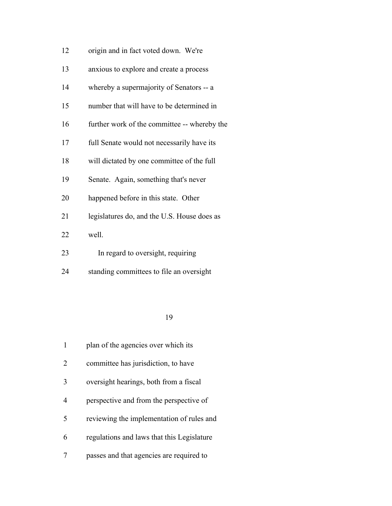| 12 | origin and in fact voted down. We're         |
|----|----------------------------------------------|
| 13 | anxious to explore and create a process      |
| 14 | whereby a supermajority of Senators -- a     |
| 15 | number that will have to be determined in    |
| 16 | further work of the committee -- whereby the |
| 17 | full Senate would not necessarily have its   |
| 18 | will dictated by one committee of the full   |
| 19 | Senate. Again, something that's never        |
| 20 | happened before in this state. Other         |
| 21 | legislatures do, and the U.S. House does as  |
| 22 | well.                                        |
| 23 | In regard to oversight, requiring            |
|    |                                              |

standing committees to file an oversight

|   | plan of the agencies over which its        |
|---|--------------------------------------------|
| 2 | committee has jurisdiction, to have        |
| 3 | oversight hearings, both from a fiscal     |
| 4 | perspective and from the perspective of    |
| 5 | reviewing the implementation of rules and  |
| 6 | regulations and laws that this Legislature |
|   | passes and that agencies are required to   |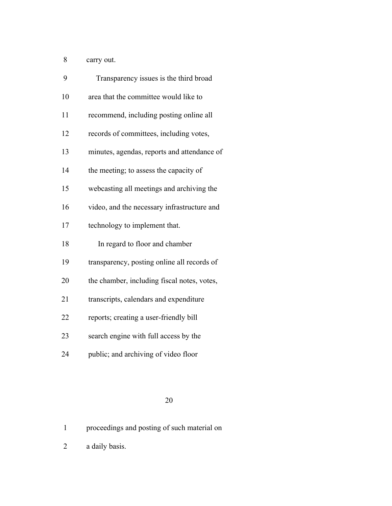carry out.

| 9  | Transparency issues is the third broad      |
|----|---------------------------------------------|
| 10 | area that the committee would like to       |
| 11 | recommend, including posting online all     |
| 12 | records of committees, including votes,     |
| 13 | minutes, agendas, reports and attendance of |
| 14 | the meeting; to assess the capacity of      |
| 15 | webcasting all meetings and archiving the   |
| 16 | video, and the necessary infrastructure and |
| 17 | technology to implement that.               |
| 18 | In regard to floor and chamber              |
| 19 | transparency, posting online all records of |
| 20 | the chamber, including fiscal notes, votes, |
| 21 | transcripts, calendars and expenditure      |
| 22 | reports; creating a user-friendly bill      |
| 23 | search engine with full access by the       |
| 24 | public; and archiving of video floor        |
|    |                                             |

# 

proceedings and posting of such material on

a daily basis.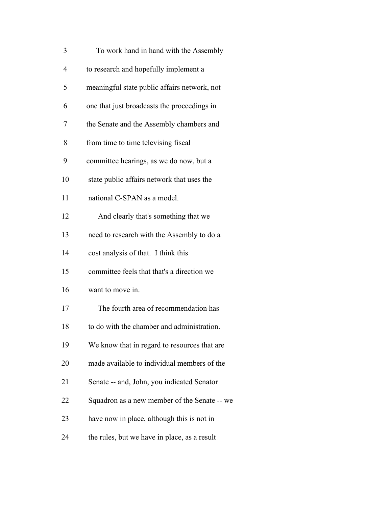| 3              | To work hand in hand with the Assembly       |
|----------------|----------------------------------------------|
| $\overline{4}$ | to research and hopefully implement a        |
| 5              | meaningful state public affairs network, not |
| 6              | one that just broadcasts the proceedings in  |
| 7              | the Senate and the Assembly chambers and     |
| 8              | from time to time televising fiscal          |
| 9              | committee hearings, as we do now, but a      |
| 10             | state public affairs network that uses the   |
| 11             | national C-SPAN as a model.                  |
| 12             | And clearly that's something that we         |
| 13             | need to research with the Assembly to do a   |
| 14             | cost analysis of that. I think this          |
| 15             | committee feels that that's a direction we   |
| 16             | want to move in.                             |
| 17             | The fourth area of recommendation has        |
| 18             | to do with the chamber and administration.   |
| 19             | We know that in regard to resources that are |
| 20             | made available to individual members of the  |
| 21             | Senate -- and, John, you indicated Senator   |
| 22             | Squadron as a new member of the Senate -- we |
| 23             | have now in place, although this is not in   |
| 24             | the rules, but we have in place, as a result |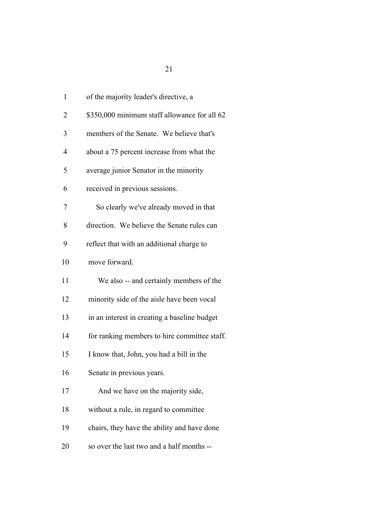| 1              | of the majority leader's directive, a        |
|----------------|----------------------------------------------|
| $\overline{2}$ | \$350,000 minimum staff allowance for all 62 |
| 3              | members of the Senate. We believe that's     |
| 4              | about a 75 percent increase from what the    |
| 5              | average junior Senator in the minority       |
| 6              | received in previous sessions.               |
| 7              | So clearly we've already moved in that       |
| 8              | direction. We believe the Senate rules can   |
| 9              | reflect that with an additional charge to    |
| 10             | move forward.                                |
| 11             | We also -- and certainly members of the      |
| 12             | minority side of the aisle have been vocal   |
| 13             | in an interest in creating a baseline budget |
| 14             | for ranking members to hire committee staff. |
| 15             | I know that, John, you had a bill in the     |
| 16             | Senate in previous years.                    |
| 17             | And we have on the majority side,            |
| 18             | without a rule, in regard to committee       |
| 19             | chairs, they have the ability and have done  |
| 20             | so over the last two and a half months --    |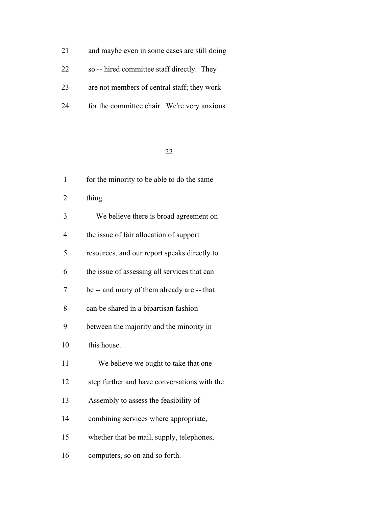| 21 | and maybe even in some cases are still doing |
|----|----------------------------------------------|
| 22 | so -- hired committee staff directly. They   |
| 23 | are not members of central staff; they work  |

for the committee chair. We're very anxious

| 1              | for the minority to be able to do the same   |
|----------------|----------------------------------------------|
| $\overline{2}$ | thing.                                       |
| 3              | We believe there is broad agreement on       |
| $\overline{4}$ | the issue of fair allocation of support      |
| 5              | resources, and our report speaks directly to |
| 6              | the issue of assessing all services that can |
| 7              | be -- and many of them already are -- that   |
| 8              | can be shared in a bipartisan fashion        |
| 9              | between the majority and the minority in     |
| 10             | this house.                                  |
| 11             | We believe we ought to take that one         |
| 12             | step further and have conversations with the |
| 13             | Assembly to assess the feasibility of        |
| 14             | combining services where appropriate,        |
| 15             | whether that be mail, supply, telephones,    |
| 16             | computers, so on and so forth.               |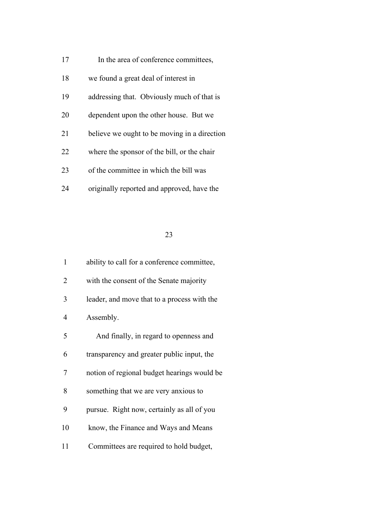- 17 In the area of conference committees,
- we found a great deal of interest in
- addressing that. Obviously much of that is
- dependent upon the other house. But we
- believe we ought to be moving in a direction
- where the sponsor of the bill, or the chair
- of the committee in which the bill was
- originally reported and approved, have the

| $\mathbf{1}$   | ability to call for a conference committee, |
|----------------|---------------------------------------------|
| $\overline{2}$ | with the consent of the Senate majority     |
| 3              | leader, and move that to a process with the |
| 4              | Assembly.                                   |
| 5              | And finally, in regard to openness and      |
| 6              | transparency and greater public input, the  |
| 7              | notion of regional budget hearings would be |
| 8              | something that we are very anxious to       |
| 9              | pursue. Right now, certainly as all of you  |
| 10             | know, the Finance and Ways and Means        |
| 11             | Committees are required to hold budget,     |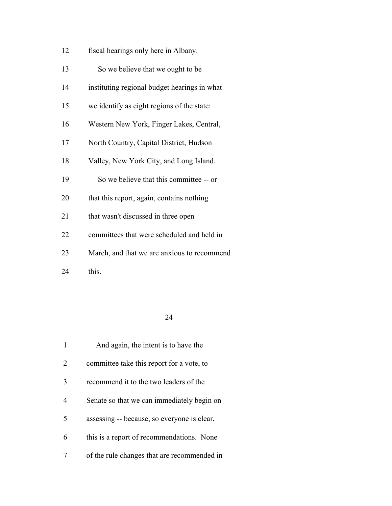| 12<br>fiscal hearings only here in Albany. |  |
|--------------------------------------------|--|
|--------------------------------------------|--|

| 13 |  | So we believe that we ought to be |  |
|----|--|-----------------------------------|--|
|    |  |                                   |  |

- instituting regional budget hearings in what
- we identify as eight regions of the state:
- Western New York, Finger Lakes, Central,
- North Country, Capital District, Hudson
- Valley, New York City, and Long Island.
- So we believe that this committee -- or
- that this report, again, contains nothing
- 21 that wasn't discussed in three open
- committees that were scheduled and held in
- March, and that we are anxious to recommend
- 24 this.

|                             | And again, the intent is to have the        |
|-----------------------------|---------------------------------------------|
| $\mathcal{D}_{\mathcal{L}}$ | committee take this report for a vote, to   |
| 3                           | recommend it to the two leaders of the      |
| 4                           | Senate so that we can immediately begin on  |
| 5                           | assessing -- because, so everyone is clear, |
| 6                           | this is a report of recommendations. None   |
|                             | of the rule changes that are recommended in |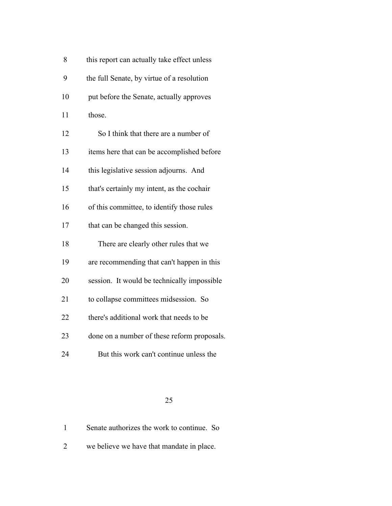| 8  | this report can actually take effect unless |
|----|---------------------------------------------|
| 9  | the full Senate, by virtue of a resolution  |
| 10 | put before the Senate, actually approves    |
| 11 | those.                                      |
| 12 | So I think that there are a number of       |
| 13 | items here that can be accomplished before  |
| 14 | this legislative session adjourns. And      |
| 15 | that's certainly my intent, as the cochair  |
| 16 | of this committee, to identify those rules  |
| 17 | that can be changed this session.           |
| 18 | There are clearly other rules that we       |
| 19 | are recommending that can't happen in this  |
| 20 | session. It would be technically impossible |
| 21 | to collapse committees midsession. So       |
| 22 | there's additional work that needs to be    |
| 23 | done on a number of these reform proposals. |
| 24 | But this work can't continue unless the     |

| Senate authorizes the work to continue. So |  |
|--------------------------------------------|--|
|--------------------------------------------|--|

we believe we have that mandate in place.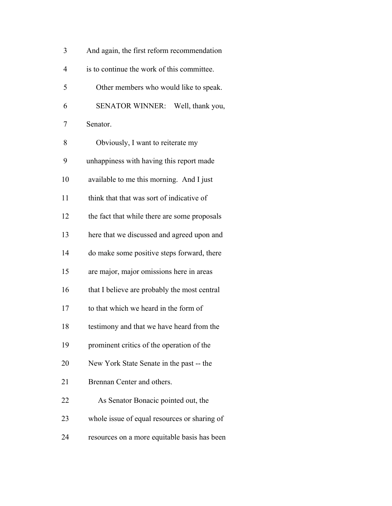| 3              | And again, the first reform recommendation   |
|----------------|----------------------------------------------|
| $\overline{4}$ | is to continue the work of this committee.   |
| 5              | Other members who would like to speak.       |
| 6              | SENATOR WINNER: Well, thank you,             |
| 7              | Senator.                                     |
| 8              | Obviously, I want to reiterate my            |
| 9              | unhappiness with having this report made     |
| 10             | available to me this morning. And I just     |
| 11             | think that that was sort of indicative of    |
| 12             | the fact that while there are some proposals |
| 13             | here that we discussed and agreed upon and   |
| 14             | do make some positive steps forward, there   |
| 15             | are major, major omissions here in areas     |
| 16             | that I believe are probably the most central |
| 17             | to that which we heard in the form of        |
| 18             | testimony and that we have heard from the    |
| 19             | prominent critics of the operation of the    |
| 20             | New York State Senate in the past -- the     |
| 21             | Brennan Center and others.                   |
| 22             | As Senator Bonacic pointed out, the          |
| 23             | whole issue of equal resources or sharing of |
| 24             | resources on a more equitable basis has been |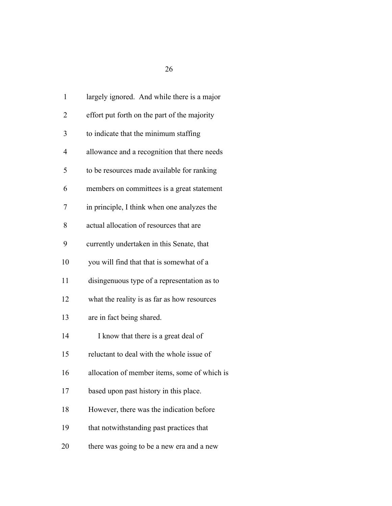| 1              | largely ignored. And while there is a major  |
|----------------|----------------------------------------------|
| $\overline{2}$ | effort put forth on the part of the majority |
| 3              | to indicate that the minimum staffing        |
| $\overline{4}$ | allowance and a recognition that there needs |
| 5              | to be resources made available for ranking   |
| 6              | members on committees is a great statement   |
| 7              | in principle, I think when one analyzes the  |
| 8              | actual allocation of resources that are      |
| 9              | currently undertaken in this Senate, that    |
| 10             | you will find that that is somewhat of a     |
| 11             | disingenuous type of a representation as to  |
| 12             | what the reality is as far as how resources  |
| 13             | are in fact being shared.                    |
| 14             | I know that there is a great deal of         |
| 15             | reluctant to deal with the whole issue of    |
| 16             | allocation of member items, some of which is |
| 17             | based upon past history in this place.       |
| 18             | However, there was the indication before     |
| 19             | that notwithstanding past practices that     |
| 20             | there was going to be a new era and a new    |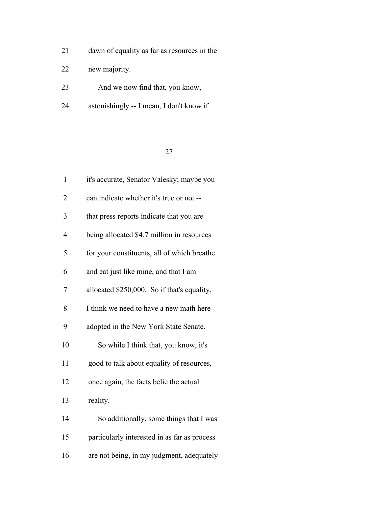- dawn of equality as far as resources in the
- new majority.
- And we now find that, you know,
- astonishingly -- I mean, I don't know if

| 1              | it's accurate, Senator Valesky; maybe you    |
|----------------|----------------------------------------------|
| $\overline{2}$ | can indicate whether it's true or not --     |
| 3              | that press reports indicate that you are     |
| 4              | being allocated \$4.7 million in resources   |
| 5              | for your constituents, all of which breathe  |
| 6              | and eat just like mine, and that I am        |
| 7              | allocated \$250,000. So if that's equality,  |
| 8              | I think we need to have a new math here      |
| 9              | adopted in the New York State Senate.        |
| 10             | So while I think that, you know, it's        |
| 11             | good to talk about equality of resources,    |
| 12             | once again, the facts belie the actual       |
| 13             | reality.                                     |
| 14             | So additionally, some things that I was      |
| 15             | particularly interested in as far as process |
| 16             | are not being, in my judgment, adequately    |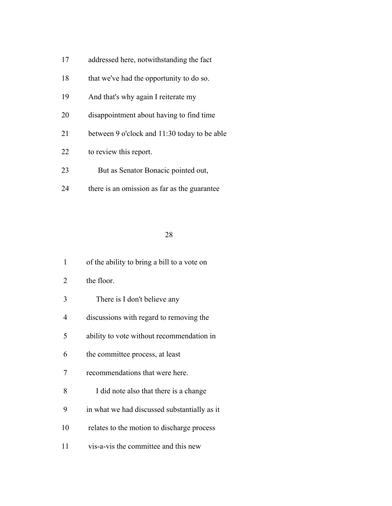- addressed here, notwithstanding the fact
- 18 that we've had the opportunity to do so.
- And that's why again I reiterate my
- disappointment about having to find time
- between 9 o'clock and 11:30 today to be able
- to review this report.
- 23 But as Senator Bonacic pointed out,
- there is an omission as far as the guarantee

| 1  | of the ability to bring a bill to a vote on  |
|----|----------------------------------------------|
| 2  | the floor.                                   |
| 3  | There is I don't believe any                 |
| 4  | discussions with regard to removing the      |
| 5  | ability to vote without recommendation in    |
| 6  | the committee process, at least              |
| 7  | recommendations that were here.              |
| 8  | I did note also that there is a change       |
| 9  | in what we had discussed substantially as it |
| 10 | relates to the motion to discharge process   |
| 11 | vis-a-vis the committee and this new         |
|    |                                              |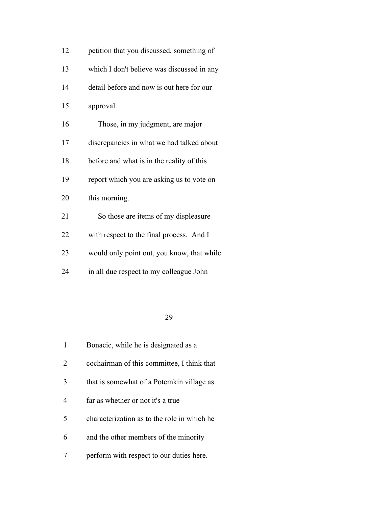| 12 | petition that you discussed, something of  |
|----|--------------------------------------------|
| 13 | which I don't believe was discussed in any |
| 14 | detail before and now is out here for our  |
| 15 | approval.                                  |
| 16 | Those, in my judgment, are major           |
| 17 | discrepancies in what we had talked about  |
| 18 | before and what is in the reality of this  |
| 19 | report which you are asking us to vote on  |
| 20 | this morning.                              |
| 21 | So those are items of my displeasure       |
| 22 | with respect to the final process. And I   |
| 23 | would only point out, you know, that while |
| 24 | in all due respect to my colleague John    |

|   | Bonacic, while he is designated as a        |
|---|---------------------------------------------|
| 2 | cochairman of this committee, I think that  |
| 3 | that is somewhat of a Potemkin village as   |
| 4 | far as whether or not it's a true           |
| 5 | characterization as to the role in which he |
| 6 | and the other members of the minority       |
|   | perform with respect to our duties here.    |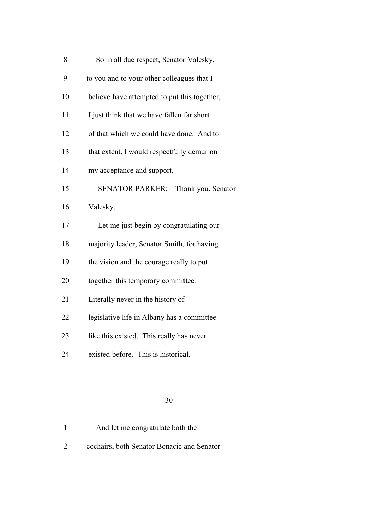| 8  | So in all due respect, Senator Valesky,      |
|----|----------------------------------------------|
| 9  | to you and to your other colleagues that I   |
| 10 | believe have attempted to put this together, |
| 11 | I just think that we have fallen far short   |
| 12 | of that which we could have done. And to     |
| 13 | that extent, I would respectfully demur on   |
| 14 | my acceptance and support.                   |
| 15 | SENATOR PARKER: Thank you, Senator           |
| 16 | Valesky.                                     |
| 17 | Let me just begin by congratulating our      |
| 18 | majority leader, Senator Smith, for having   |
| 19 | the vision and the courage really to put     |
| 20 | together this temporary committee.           |
| 21 | Literally never in the history of            |
| 22 | legislative life in Albany has a committee   |
| 23 | like this existed. This really has never     |
| 24 | existed before. This is historical.          |
|    |                                              |

| And let me congratulate both the |  |
|----------------------------------|--|
|----------------------------------|--|

cochairs, both Senator Bonacic and Senator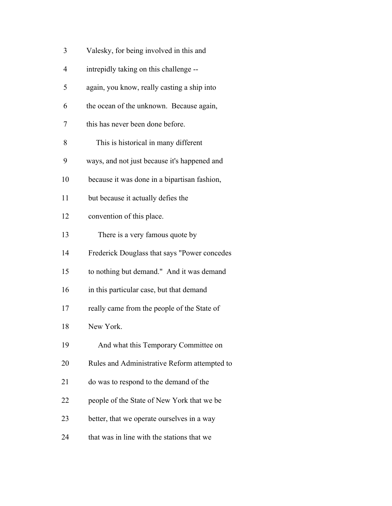| 3              | Valesky, for being involved in this and      |
|----------------|----------------------------------------------|
| $\overline{4}$ | intrepidly taking on this challenge --       |
| 5              | again, you know, really casting a ship into  |
| 6              | the ocean of the unknown. Because again,     |
| 7              | this has never been done before.             |
| 8              | This is historical in many different         |
| 9              | ways, and not just because it's happened and |
| 10             | because it was done in a bipartisan fashion, |
| 11             | but because it actually defies the           |
| 12             | convention of this place.                    |
| 13             | There is a very famous quote by              |
| 14             | Frederick Douglass that says "Power concedes |
| 15             | to nothing but demand." And it was demand    |
| 16             | in this particular case, but that demand     |
| 17             | really came from the people of the State of  |
| 18             | New York.                                    |
| 19             | And what this Temporary Committee on         |
| 20             | Rules and Administrative Reform attempted to |
| 21             | do was to respond to the demand of the       |
| 22             | people of the State of New York that we be   |
| 23             | better, that we operate ourselves in a way   |
| 24             | that was in line with the stations that we   |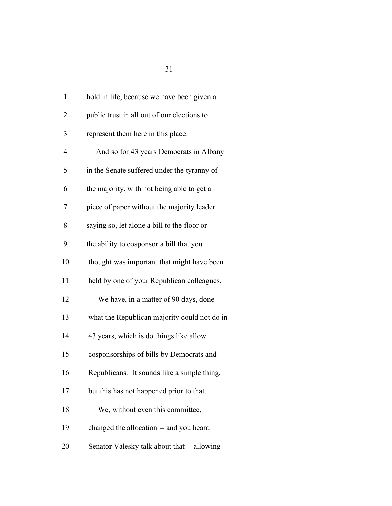| 1              | hold in life, because we have been given a   |
|----------------|----------------------------------------------|
| $\overline{2}$ | public trust in all out of our elections to  |
| 3              | represent them here in this place.           |
| 4              | And so for 43 years Democrats in Albany      |
| 5              | in the Senate suffered under the tyranny of  |
| 6              | the majority, with not being able to get a   |
| 7              | piece of paper without the majority leader   |
| 8              | saying so, let alone a bill to the floor or  |
| 9              | the ability to cosponsor a bill that you     |
| 10             | thought was important that might have been   |
| 11             | held by one of your Republican colleagues.   |
| 12             | We have, in a matter of 90 days, done        |
| 13             | what the Republican majority could not do in |
| 14             | 43 years, which is do things like allow      |
| 15             | cosponsorships of bills by Democrats and     |
| 16             | Republicans. It sounds like a simple thing,  |
| 17             | but this has not happened prior to that.     |
| 18             | We, without even this committee,             |
| 19             | changed the allocation -- and you heard      |
| 20             | Senator Valesky talk about that -- allowing  |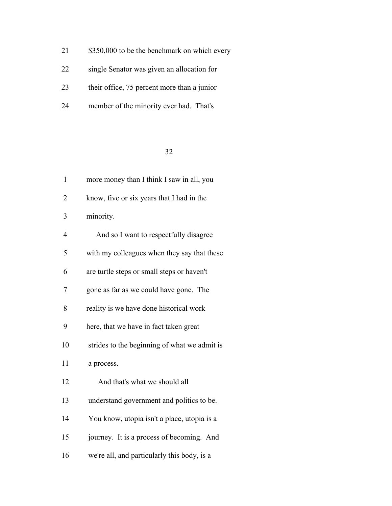- 21 \$350,000 to be the benchmark on which every
- single Senator was given an allocation for
- their office, 75 percent more than a junior
- member of the minority ever had. That's

| $\mathbf{1}$   | more money than I think I saw in all, you    |
|----------------|----------------------------------------------|
| $\overline{2}$ | know, five or six years that I had in the    |
| 3              | minority.                                    |
| $\overline{4}$ | And so I want to respectfully disagree       |
| 5              | with my colleagues when they say that these  |
| 6              | are turtle steps or small steps or haven't   |
| 7              | gone as far as we could have gone. The       |
| 8              | reality is we have done historical work      |
| 9              | here, that we have in fact taken great       |
| 10             | strides to the beginning of what we admit is |
| 11             | a process.                                   |
| 12             | And that's what we should all                |
| 13             | understand government and politics to be.    |
| 14             | You know, utopia isn't a place, utopia is a  |
| 15             | journey. It is a process of becoming. And    |
| 16             | we're all, and particularly this body, is a  |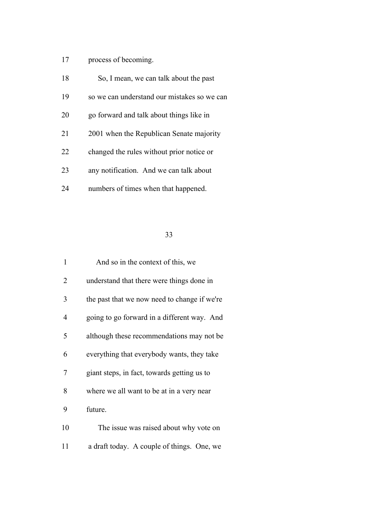# process of becoming.

| 18 | So, I mean, we can talk about the past      |
|----|---------------------------------------------|
| 19 | so we can understand our mistakes so we can |
| 20 | go forward and talk about things like in    |
| 21 | 2001 when the Republican Senate majority    |
| 22 | changed the rules without prior notice or   |
| 23 | any notification. And we can talk about     |
| 24 | numbers of times when that happened.        |

| 1  | And so in the context of this, we            |
|----|----------------------------------------------|
| 2  | understand that there were things done in    |
| 3  | the past that we now need to change if we're |
| 4  | going to go forward in a different way. And  |
| 5  | although these recommendations may not be.   |
| 6  | everything that everybody wants, they take   |
| 7  | giant steps, in fact, towards getting us to  |
| 8  | where we all want to be at in a very near    |
| 9  | future.                                      |
| 10 | The issue was raised about why vote on       |
| 11 | a draft today. A couple of things. One, we   |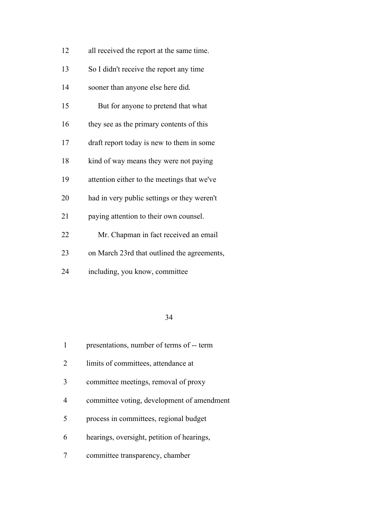| 12 | all received the report at the same time.   |
|----|---------------------------------------------|
| 13 | So I didn't receive the report any time     |
| 14 | sooner than anyone else here did.           |
| 15 | But for anyone to pretend that what         |
| 16 | they see as the primary contents of this    |
| 17 | draft report today is new to them in some   |
| 18 | kind of way means they were not paying      |
| 19 | attention either to the meetings that we've |
| 20 | had in very public settings or they weren't |
| 21 | paying attention to their own counsel.      |
| 22 | Mr. Chapman in fact received an email       |
| 23 | on March 23rd that outlined the agreements, |
| 24 | including, you know, committee              |

|                          | presentations, number of terms of -- term  |
|--------------------------|--------------------------------------------|
| $\mathcal{L}$            | limits of committees, attendance at        |
| 3                        | committee meetings, removal of proxy       |
| 4                        | committee voting, development of amendment |
| $\overline{\mathcal{L}}$ | process in committees, regional budget     |
| 6                        | hearings, oversight, petition of hearings, |
|                          | committee transparency, chamber            |
|                          |                                            |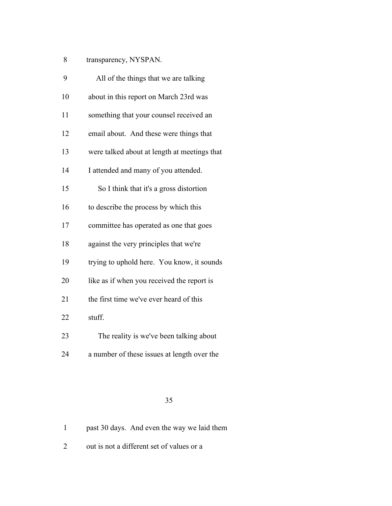| 8 | transparency, NYSPAN. |  |
|---|-----------------------|--|
|   |                       |  |

| 9  | All of the things that we are talking        |
|----|----------------------------------------------|
| 10 | about in this report on March 23rd was       |
| 11 | something that your counsel received an      |
| 12 | email about. And these were things that      |
| 13 | were talked about at length at meetings that |
| 14 | I attended and many of you attended.         |
| 15 | So I think that it's a gross distortion      |
| 16 | to describe the process by which this        |
| 17 | committee has operated as one that goes      |
| 18 | against the very principles that we're       |
| 19 | trying to uphold here. You know, it sounds   |
| 20 | like as if when you received the report is   |
| 21 | the first time we've ever heard of this      |
| 22 | stuff.                                       |
| 23 | The reality is we've been talking about      |
| 24 | a number of these issues at length over the  |

|  |  |  | past 30 days. And even the way we laid them |  |
|--|--|--|---------------------------------------------|--|
|  |  |  |                                             |  |

out is not a different set of values or a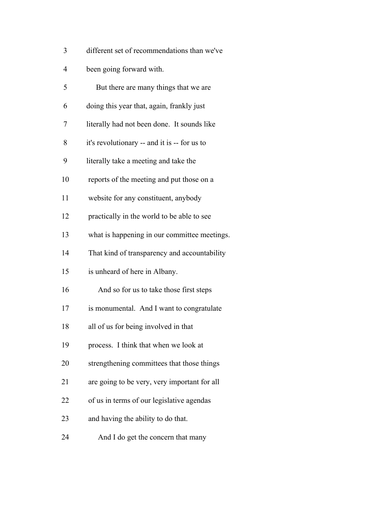been going forward with.

| 5  | But there are many things that we are        |
|----|----------------------------------------------|
| 6  | doing this year that, again, frankly just    |
| 7  | literally had not been done. It sounds like  |
| 8  | it's revolutionary -- and it is -- for us to |
| 9  | literally take a meeting and take the        |
| 10 | reports of the meeting and put those on a    |
| 11 | website for any constituent, anybody         |
| 12 | practically in the world to be able to see   |
| 13 | what is happening in our committee meetings. |
| 14 | That kind of transparency and accountability |
| 15 | is unheard of here in Albany.                |
| 16 | And so for us to take those first steps      |
| 17 | is monumental. And I want to congratulate    |
| 18 | all of us for being involved in that         |
| 19 | process. I think that when we look at        |
| 20 | strengthening committees that those things   |
| 21 | are going to be very, very important for all |
| 22 | of us in terms of our legislative agendas    |
| 23 | and having the ability to do that.           |
| 24 | And I do get the concern that many           |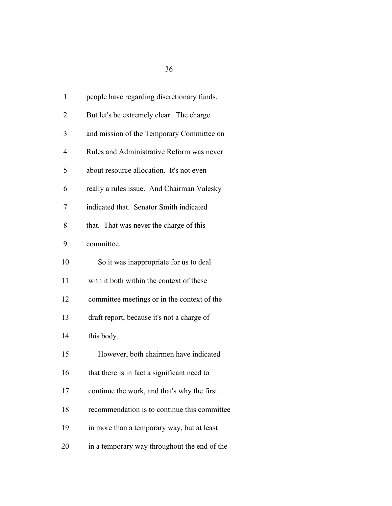| $\mathbf{1}$   | people have regarding discretionary funds.   |
|----------------|----------------------------------------------|
| 2              | But let's be extremely clear. The charge     |
| 3              | and mission of the Temporary Committee on    |
| $\overline{4}$ | Rules and Administrative Reform was never    |
| 5              | about resource allocation. It's not even     |
| 6              | really a rules issue. And Chairman Valesky   |
| 7              | indicated that. Senator Smith indicated      |
| 8              | that. That was never the charge of this      |
| 9              | committee.                                   |
| 10             | So it was inappropriate for us to deal       |
| 11             | with it both within the context of these     |
| 12             | committee meetings or in the context of the  |
| 13             | draft report, because it's not a charge of   |
| 14             | this body.                                   |
| 15             | However, both chairmen have indicated        |
| 16             | that there is in fact a significant need to  |
| 17             | continue the work, and that's why the first  |
| 18             | recommendation is to continue this committee |
| 19             | in more than a temporary way, but at least   |
| 20             | in a temporary way throughout the end of the |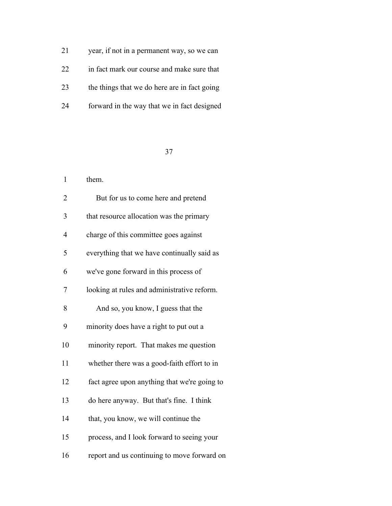| 21 | year, if not in a permanent way, so we can   |
|----|----------------------------------------------|
| 22 | in fact mark our course and make sure that   |
| 23 | the things that we do here are in fact going |
| 24 | forward in the way that we in fact designed  |

| $\mathbf{1}$             | them.                                        |
|--------------------------|----------------------------------------------|
| 2                        | But for us to come here and pretend          |
| 3                        | that resource allocation was the primary     |
| $\overline{\mathcal{L}}$ | charge of this committee goes against        |
| 5                        | everything that we have continually said as  |
| 6                        | we've gone forward in this process of        |
| 7                        | looking at rules and administrative reform.  |
| 8                        | And so, you know, I guess that the           |
| 9                        | minority does have a right to put out a      |
| 10                       | minority report. That makes me question      |
| 11                       | whether there was a good-faith effort to in  |
| 12                       | fact agree upon anything that we're going to |
| 13                       | do here anyway. But that's fine. I think     |
| 14                       | that, you know, we will continue the         |
| 15                       | process, and I look forward to seeing your   |
| 16                       | report and us continuing to move forward on  |
|                          |                                              |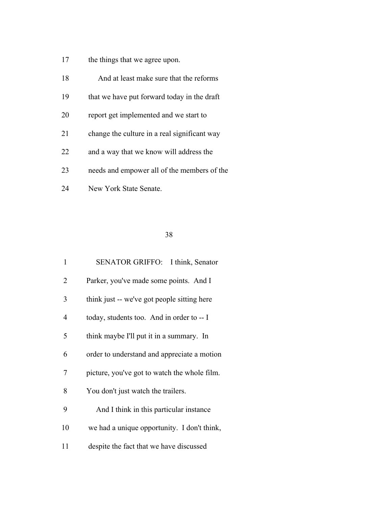17 the things that we agree upon.

| 18 | And at least make sure that the reforms      |
|----|----------------------------------------------|
| 19 | that we have put forward today in the draft  |
| 20 | report get implemented and we start to       |
| 21 | change the culture in a real significant way |
| 22 | and a way that we know will address the      |
| 23 | needs and empower all of the members of the  |
| 24 | New York State Senate.                       |

| 1              | SENATOR GRIFFO: I think, Senator             |
|----------------|----------------------------------------------|
| 2              | Parker, you've made some points. And I       |
| 3              | think just -- we've got people sitting here  |
| $\overline{4}$ | today, students too. And in order to -- I    |
| 5              | think maybe I'll put it in a summary. In     |
| 6              | order to understand and appreciate a motion  |
| 7              | picture, you've got to watch the whole film. |
| 8              | You don't just watch the trailers.           |
| 9              | And I think in this particular instance      |
| 10             | we had a unique opportunity. I don't think,  |
| 11             | despite the fact that we have discussed      |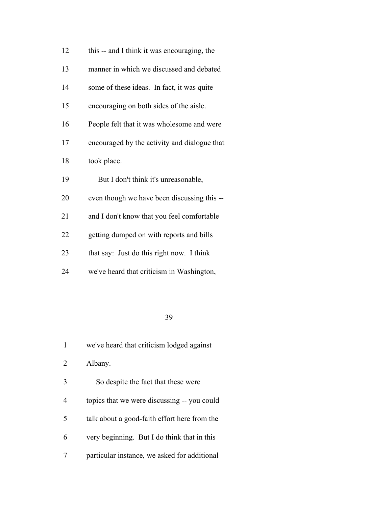| 12 | this -- and I think it was encouraging, the  |
|----|----------------------------------------------|
| 13 | manner in which we discussed and debated     |
| 14 | some of these ideas. In fact, it was quite   |
| 15 | encouraging on both sides of the aisle.      |
| 16 | People felt that it was wholesome and were   |
| 17 | encouraged by the activity and dialogue that |
| 18 | took place.                                  |
| 19 | But I don't think it's unreasonable,         |
| 20 | even though we have been discussing this --  |
| 21 | and I don't know that you feel comfortable   |
| 22 | getting dumped on with reports and bills     |
| 23 | that say: Just do this right now. I think    |
| 24 | we've heard that criticism in Washington,    |

|   | we've heard that criticism lodged against    |
|---|----------------------------------------------|
| 2 | Albany.                                      |
| 3 | So despite the fact that these were          |
| 4 | topics that we were discussing -- you could  |
| 5 | talk about a good-faith effort here from the |
| 6 | very beginning. But I do think that in this  |
|   | particular instance, we asked for additional |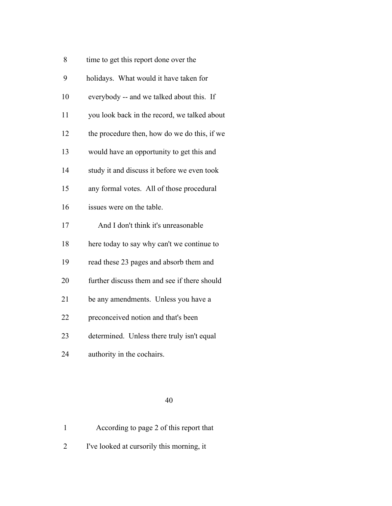| 8  | time to get this report done over the        |
|----|----------------------------------------------|
| 9  | holidays. What would it have taken for       |
| 10 | everybody -- and we talked about this. If    |
| 11 | you look back in the record, we talked about |
| 12 | the procedure then, how do we do this, if we |
| 13 | would have an opportunity to get this and    |
| 14 | study it and discuss it before we even took  |
| 15 | any formal votes. All of those procedural    |
| 16 | issues were on the table.                    |
| 17 | And I don't think it's unreasonable          |
| 18 | here today to say why can't we continue to   |
| 19 | read these 23 pages and absorb them and      |
| 20 | further discuss them and see if there should |
| 21 | be any amendments. Unless you have a         |
| 22 | preconceived notion and that's been          |
| 23 | determined. Unless there truly isn't equal   |
| 24 | authority in the cochairs.                   |
|    |                                              |

|  | According to page 2 of this report that |  |  |  |  |
|--|-----------------------------------------|--|--|--|--|
|--|-----------------------------------------|--|--|--|--|

I've looked at cursorily this morning, it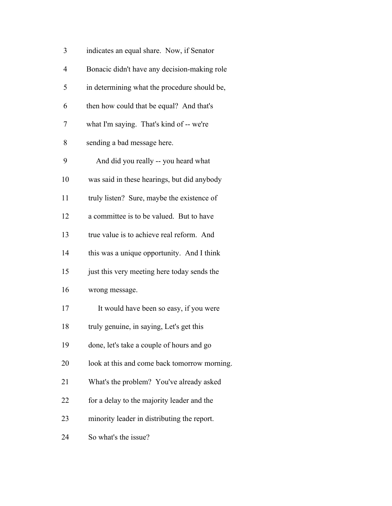| 3  | indicates an equal share. Now, if Senator    |
|----|----------------------------------------------|
| 4  | Bonacic didn't have any decision-making role |
| 5  | in determining what the procedure should be, |
| 6  | then how could that be equal? And that's     |
| 7  | what I'm saying. That's kind of -- we're     |
| 8  | sending a bad message here.                  |
| 9  | And did you really -- you heard what         |
| 10 | was said in these hearings, but did anybody  |
| 11 | truly listen? Sure, maybe the existence of   |
| 12 | a committee is to be valued. But to have     |
| 13 | true value is to achieve real reform. And    |
| 14 | this was a unique opportunity. And I think   |
| 15 | just this very meeting here today sends the  |
| 16 | wrong message.                               |
| 17 | It would have been so easy, if you were      |
| 18 | truly genuine, in saying, Let's get this     |
| 19 | done, let's take a couple of hours and go    |
| 20 | look at this and come back tomorrow morning. |
| 21 | What's the problem? You've already asked     |
| 22 | for a delay to the majority leader and the   |
| 23 | minority leader in distributing the report.  |
| 24 | So what's the issue?                         |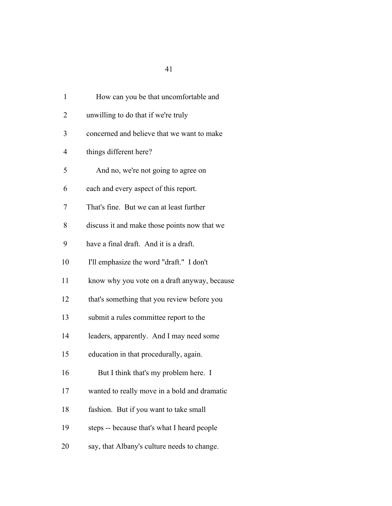| $\mathbf{1}$   | How can you be that uncomfortable and        |
|----------------|----------------------------------------------|
| $\overline{2}$ | unwilling to do that if we're truly          |
| 3              | concerned and believe that we want to make   |
| 4              | things different here?                       |
| 5              | And no, we're not going to agree on          |
| 6              | each and every aspect of this report.        |
| 7              | That's fine. But we can at least further     |
| 8              | discuss it and make those points now that we |
| 9              | have a final draft. And it is a draft.       |
| 10             | I'll emphasize the word "draft." I don't     |
| 11             | know why you vote on a draft anyway, because |
| 12             | that's something that you review before you  |
| 13             | submit a rules committee report to the       |
| 14             | leaders, apparently. And I may need some     |
| 15             | education in that procedurally, again.       |
| 16             | But I think that's my problem here. I        |
| 17             | wanted to really move in a bold and dramatic |
| 18             | fashion. But if you want to take small       |
| 19             | steps -- because that's what I heard people  |
| 20             | say, that Albany's culture needs to change.  |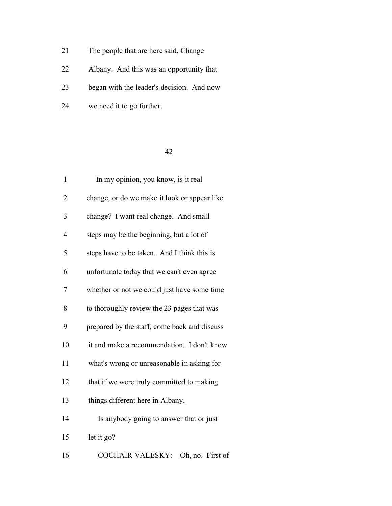- 21 The people that are here said, Change
- Albany. And this was an opportunity that
- began with the leader's decision. And now
- we need it to go further.

| $\mathbf{1}$   | In my opinion, you know, is it real          |
|----------------|----------------------------------------------|
| $\overline{2}$ | change, or do we make it look or appear like |
| 3              | change? I want real change. And small        |
| $\overline{4}$ | steps may be the beginning, but a lot of     |
| 5              | steps have to be taken. And I think this is  |
| 6              | unfortunate today that we can't even agree   |
| 7              | whether or not we could just have some time  |
| 8              | to thoroughly review the 23 pages that was   |
| 9              | prepared by the staff, come back and discuss |
| 10             | it and make a recommendation. I don't know   |
| 11             | what's wrong or unreasonable in asking for   |
| 12             | that if we were truly committed to making    |
| 13             | things different here in Albany.             |
| 14             | Is anybody going to answer that or just      |
| 15             | let it go?                                   |
| 16             | COCHAIR VALESKY: Oh, no. First of            |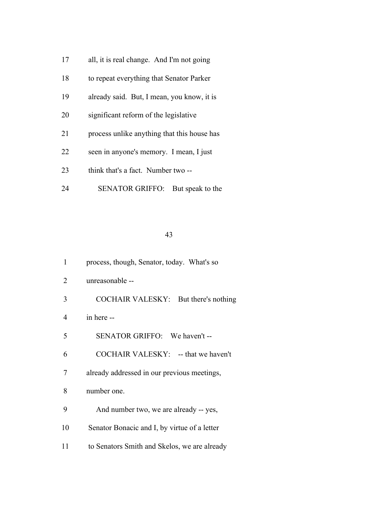- all, it is real change. And I'm not going
- to repeat everything that Senator Parker
- already said. But, I mean, you know, it is
- significant reform of the legislative
- process unlike anything that this house has
- seen in anyone's memory. I mean, I just
- 23 think that's a fact. Number two --
- SENATOR GRIFFO: But speak to the

- process, though, Senator, today. What's so
- unreasonable --
- COCHAIR VALESKY: But there's nothing
- in here --
- SENATOR GRIFFO: We haven't --
- COCHAIR VALESKY: -- that we haven't
- already addressed in our previous meetings,
- number one.
- And number two, we are already -- yes,
- Senator Bonacic and I, by virtue of a letter
- to Senators Smith and Skelos, we are already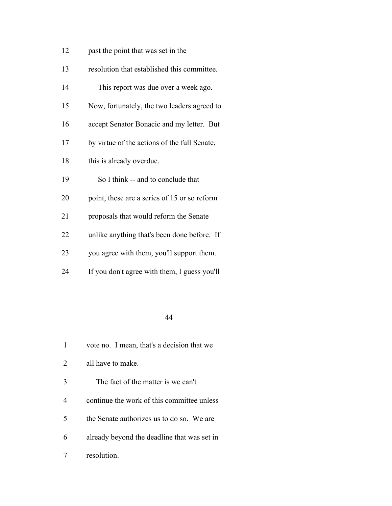- past the point that was set in the
- resolution that established this committee.
- This report was due over a week ago.
- Now, fortunately, the two leaders agreed to
- accept Senator Bonacic and my letter. But
- by virtue of the actions of the full Senate,
- 18 this is already overdue.
- So I think -- and to conclude that
- point, these are a series of 15 or so reform
- proposals that would reform the Senate
- unlike anything that's been done before. If
- you agree with them, you'll support them.
- If you don't agree with them, I guess you'll

| 1 | vote no. I mean, that's a decision that we  |
|---|---------------------------------------------|
| 2 | all have to make.                           |
| 3 | The fact of the matter is we can't          |
| 4 | continue the work of this committee unless  |
| 5 | the Senate authorizes us to do so. We are   |
| 6 | already beyond the deadline that was set in |
|   | resolution.                                 |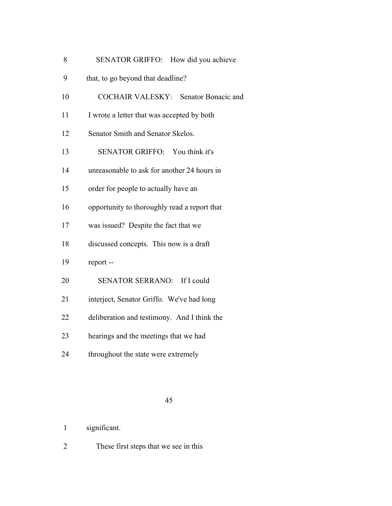| <b>SENATOR GRIFFO:</b><br>8 | How did you achieve |
|-----------------------------|---------------------|
|-----------------------------|---------------------|

- that, to go beyond that deadline?
- COCHAIR VALESKY: Senator Bonacic and
- 11 I wrote a letter that was accepted by both
- Senator Smith and Senator Skelos.
- SENATOR GRIFFO: You think it's
- unreasonable to ask for another 24 hours in
- order for people to actually have an
- opportunity to thoroughly read a report that
- was issued? Despite the fact that we
- discussed concepts. This now is a draft
- report --
- SENATOR SERRANO: If I could
- interject, Senator Griffo. We've had long
- deliberation and testimony. And I think the
- hearings and the meetings that we had
- throughout the state were extremely

- significant.
- These first steps that we see in this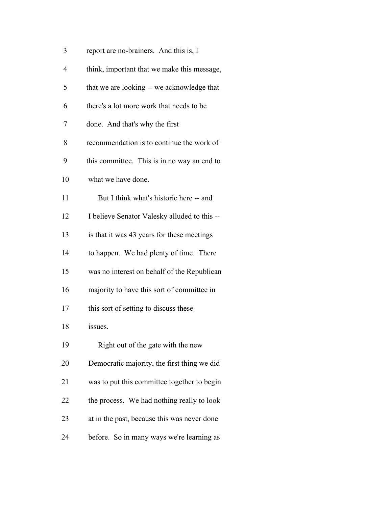| 3              | report are no-brainers. And this is, I       |
|----------------|----------------------------------------------|
| $\overline{4}$ | think, important that we make this message,  |
| 5              | that we are looking -- we acknowledge that   |
| 6              | there's a lot more work that needs to be     |
| 7              | done. And that's why the first               |
| 8              | recommendation is to continue the work of    |
| 9              | this committee. This is in no way an end to  |
| 10             | what we have done.                           |
| 11             | But I think what's historic here -- and      |
| 12             | I believe Senator Valesky alluded to this -- |
| 13             | is that it was 43 years for these meetings   |
| 14             | to happen. We had plenty of time. There      |
| 15             | was no interest on behalf of the Republican  |
| 16             | majority to have this sort of committee in   |
| 17             | this sort of setting to discuss these        |
| 18             | issues.                                      |
| 19             | Right out of the gate with the new           |
| 20             | Democratic majority, the first thing we did  |
| 21             | was to put this committee together to begin  |
| 22             | the process. We had nothing really to look   |
| 23             | at in the past, because this was never done  |
| 24             | before. So in many ways we're learning as    |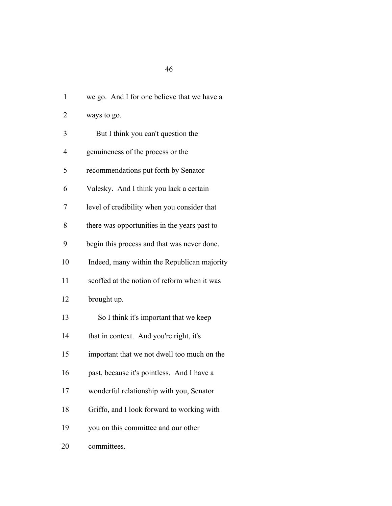| $\mathbf{1}$ | we go. And I for one believe that we have a  |
|--------------|----------------------------------------------|
| 2            | ways to go.                                  |
| 3            | But I think you can't question the           |
| 4            | genuineness of the process or the            |
| 5            | recommendations put forth by Senator         |
| 6            | Valesky. And I think you lack a certain      |
| 7            | level of credibility when you consider that  |
| 8            | there was opportunities in the years past to |
| 9            | begin this process and that was never done.  |
| 10           | Indeed, many within the Republican majority  |
| 11           | scoffed at the notion of reform when it was  |
| 12           | brought up.                                  |
| 13           | So I think it's important that we keep       |
| 14           | that in context. And you're right, it's      |
| 15           | important that we not dwell too much on the  |
| 16           | past, because it's pointless. And I have a   |
| 17           | wonderful relationship with you, Senator     |
| 18           | Griffo, and I look forward to working with   |
| 19           | you on this committee and our other          |

committees.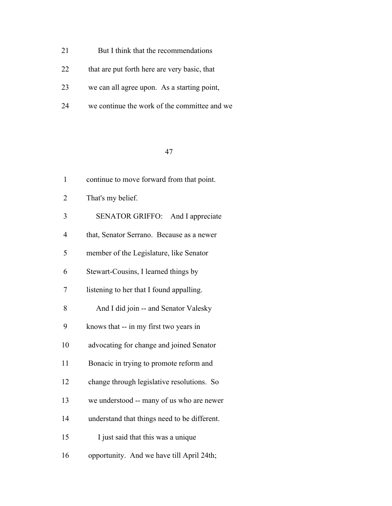- 21 But I think that the recommendations
- 22 that are put forth here are very basic, that
- we can all agree upon. As a starting point,
- we continue the work of the committee and we

| $\mathbf{1}$   | continue to move forward from that point.    |  |  |  |  |
|----------------|----------------------------------------------|--|--|--|--|
| $\overline{2}$ | That's my belief.                            |  |  |  |  |
| 3              | SENATOR GRIFFO: And I appreciate             |  |  |  |  |
| 4              | that, Senator Serrano. Because as a newer    |  |  |  |  |
| 5              | member of the Legislature, like Senator      |  |  |  |  |
| 6              | Stewart-Cousins, I learned things by         |  |  |  |  |
| 7              | listening to her that I found appalling.     |  |  |  |  |
| 8              | And I did join -- and Senator Valesky        |  |  |  |  |
| 9              | knows that -- in my first two years in       |  |  |  |  |
| 10             | advocating for change and joined Senator     |  |  |  |  |
| 11             | Bonacic in trying to promote reform and      |  |  |  |  |
| 12             | change through legislative resolutions. So   |  |  |  |  |
| 13             | we understood -- many of us who are newer    |  |  |  |  |
| 14             | understand that things need to be different. |  |  |  |  |
| 15             | I just said that this was a unique           |  |  |  |  |
| 16             | opportunity. And we have till April 24th;    |  |  |  |  |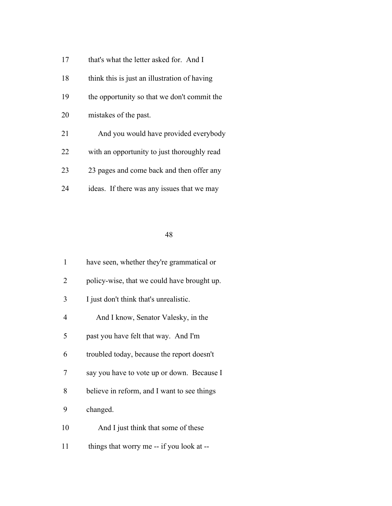- 17 that's what the letter asked for. And I
- 18 think this is just an illustration of having the opportunity so that we don't commit the mistakes of the past.
- And you would have provided everybody
- with an opportunity to just thoroughly read
- 23 pages and come back and then offer any
- ideas. If there was any issues that we may

| $\mathbf{1}$ | have seen, whether they're grammatical or   |  |  |  |  |
|--------------|---------------------------------------------|--|--|--|--|
| 2            | policy-wise, that we could have brought up. |  |  |  |  |
| 3            | I just don't think that's unrealistic.      |  |  |  |  |
| 4            | And I know, Senator Valesky, in the         |  |  |  |  |
| 5            | past you have felt that way. And I'm        |  |  |  |  |
| 6            | troubled today, because the report doesn't  |  |  |  |  |
| 7            | say you have to vote up or down. Because I  |  |  |  |  |
| 8            | believe in reform, and I want to see things |  |  |  |  |
| 9            | changed.                                    |  |  |  |  |
| 10           | And I just think that some of these         |  |  |  |  |
| 11           | things that worry me -- if you look at --   |  |  |  |  |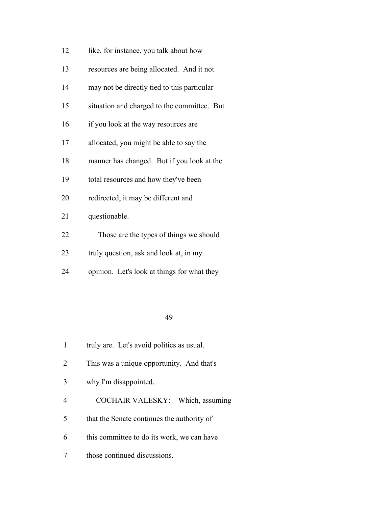- 12 like, for instance, you talk about how
- resources are being allocated. And it not
- may not be directly tied to this particular
- situation and charged to the committee. But
- if you look at the way resources are
- allocated, you might be able to say the
- manner has changed. But if you look at the
- total resources and how they've been
- redirected, it may be different and
- questionable.
- Those are the types of things we should
- truly question, ask and look at, in my
- opinion. Let's look at things for what they

- truly are. Let's avoid politics as usual.
- This was a unique opportunity. And that's
- why I'm disappointed.
- COCHAIR VALESKY: Which, assuming
- that the Senate continues the authority of
- this committee to do its work, we can have
- those continued discussions.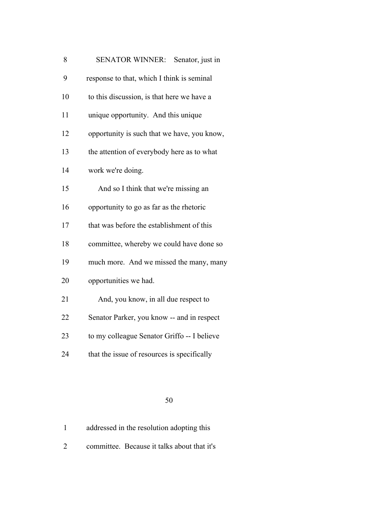| 8  | SENATOR WINNER: Senator, just in            |  |  |  |  |
|----|---------------------------------------------|--|--|--|--|
| 9  | response to that, which I think is seminal  |  |  |  |  |
| 10 | to this discussion, is that here we have a  |  |  |  |  |
| 11 | unique opportunity. And this unique         |  |  |  |  |
| 12 | opportunity is such that we have, you know, |  |  |  |  |
| 13 | the attention of everybody here as to what  |  |  |  |  |
| 14 | work we're doing.                           |  |  |  |  |
| 15 | And so I think that we're missing an        |  |  |  |  |
| 16 | opportunity to go as far as the rhetoric    |  |  |  |  |
| 17 | that was before the establishment of this   |  |  |  |  |
| 18 | committee, whereby we could have done so    |  |  |  |  |
| 19 | much more. And we missed the many, many     |  |  |  |  |
| 20 | opportunities we had.                       |  |  |  |  |
| 21 | And, you know, in all due respect to        |  |  |  |  |
| 22 | Senator Parker, you know -- and in respect  |  |  |  |  |
| 23 | to my colleague Senator Griffo -- I believe |  |  |  |  |
| 24 | that the issue of resources is specifically |  |  |  |  |

| addressed in the resolution adopting this |  |
|-------------------------------------------|--|
|-------------------------------------------|--|

committee. Because it talks about that it's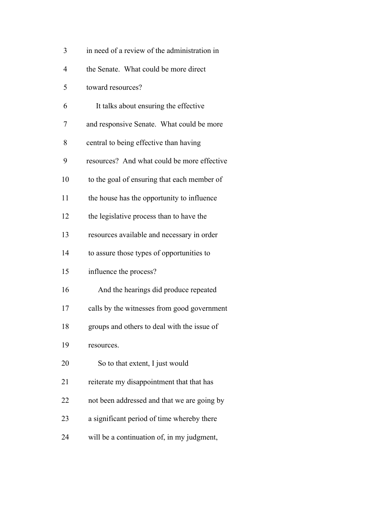| 3              | in need of a review of the administration in |
|----------------|----------------------------------------------|
| $\overline{4}$ | the Senate. What could be more direct        |
| 5              | toward resources?                            |
| 6              | It talks about ensuring the effective        |
| 7              | and responsive Senate. What could be more    |
| 8              | central to being effective than having       |
| 9              | resources? And what could be more effective  |
| 10             | to the goal of ensuring that each member of  |
| 11             | the house has the opportunity to influence   |
| 12             | the legislative process than to have the     |
| 13             | resources available and necessary in order   |
| 14             | to assure those types of opportunities to    |
| 15             | influence the process?                       |
| 16             | And the hearings did produce repeated        |
| 17             | calls by the witnesses from good government  |
| 18             | groups and others to deal with the issue of  |
| 19             | resources.                                   |
| 20             | So to that extent, I just would              |
| 21             | reiterate my disappointment that that has    |
| 22             | not been addressed and that we are going by  |
| 23             | a significant period of time whereby there   |
| 24             | will be a continuation of, in my judgment,   |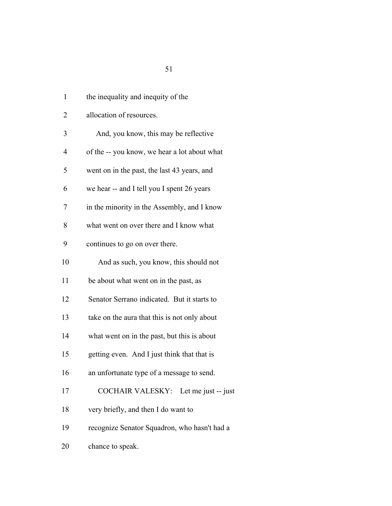| $\mathbf{1}$ | the inequality and inequity of the           |
|--------------|----------------------------------------------|
| 2            | allocation of resources.                     |
| 3            | And, you know, this may be reflective        |
| 4            | of the -- you know, we hear a lot about what |
| 5            | went on in the past, the last 43 years, and  |
| 6            | we hear -- and I tell you I spent 26 years   |
| 7            | in the minority in the Assembly, and I know  |
| 8            | what went on over there and I know what      |
| 9            | continues to go on over there.               |
| 10           | And as such, you know, this should not       |
| 11           | be about what went on in the past, as        |
| 12           | Senator Serrano indicated. But it starts to  |
| 13           | take on the aura that this is not only about |
| 14           | what went on in the past, but this is about  |
| 15           | getting even. And I just think that that is  |
| 16           | an unfortunate type of a message to send.    |
| 17           | COCHAIR VALESKY: Let me just -- just         |
| 18           | very briefly, and then I do want to          |
| 19           | recognize Senator Squadron, who hasn't had a |
|              |                                              |

chance to speak.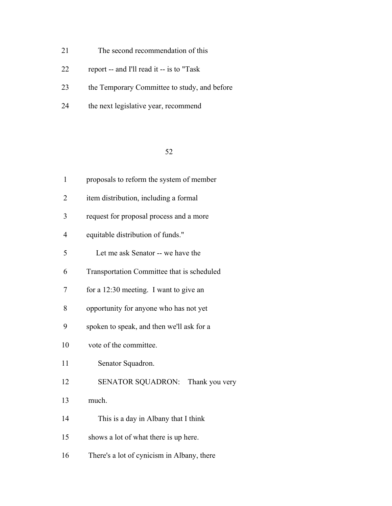- The second recommendation of this
- report -- and I'll read it -- is to "Task
- the Temporary Committee to study, and before
- the next legislative year, recommend

| $\mathbf{1}$   | proposals to reform the system of member   |  |  |  |  |
|----------------|--------------------------------------------|--|--|--|--|
| $\overline{2}$ | item distribution, including a formal      |  |  |  |  |
| 3              | request for proposal process and a more    |  |  |  |  |
| $\overline{4}$ | equitable distribution of funds."          |  |  |  |  |
| 5              | Let me ask Senator -- we have the          |  |  |  |  |
| 6              | Transportation Committee that is scheduled |  |  |  |  |
| 7              | for a 12:30 meeting. I want to give an     |  |  |  |  |
| 8              | opportunity for anyone who has not yet     |  |  |  |  |
| 9              | spoken to speak, and then we'll ask for a  |  |  |  |  |
| 10             | vote of the committee.                     |  |  |  |  |
| 11             | Senator Squadron.                          |  |  |  |  |
| 12             | <b>SENATOR SQUADRON:</b><br>Thank you very |  |  |  |  |
| 13             | much.                                      |  |  |  |  |
| 14             | This is a day in Albany that I think       |  |  |  |  |
| 15             | shows a lot of what there is up here.      |  |  |  |  |
| 16             | There's a lot of cynicism in Albany, there |  |  |  |  |
|                |                                            |  |  |  |  |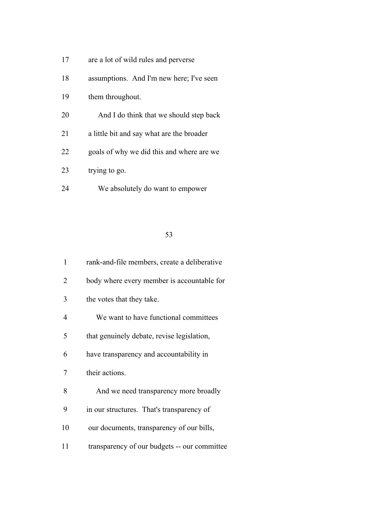- are a lot of wild rules and perverse
- assumptions. And I'm new here; I've seen
- them throughout.
- And I do think that we should step back
- a little bit and say what are the broader
- goals of why we did this and where are we
- 23 trying to go.
- We absolutely do want to empower

| $\mathbf{1}$   | rank-and-file members, create a deliberative |  |  |
|----------------|----------------------------------------------|--|--|
| 2              | body where every member is accountable for   |  |  |
| 3              | the votes that they take.                    |  |  |
| $\overline{4}$ | We want to have functional committees        |  |  |
| 5              | that genuinely debate, revise legislation,   |  |  |
| 6              | have transparency and accountability in      |  |  |
| 7              | their actions.                               |  |  |
| 8              | And we need transparency more broadly        |  |  |
| 9              | in our structures. That's transparency of    |  |  |
| 10             | our documents, transparency of our bills,    |  |  |
| 11             | transparency of our budgets -- our committee |  |  |
|                |                                              |  |  |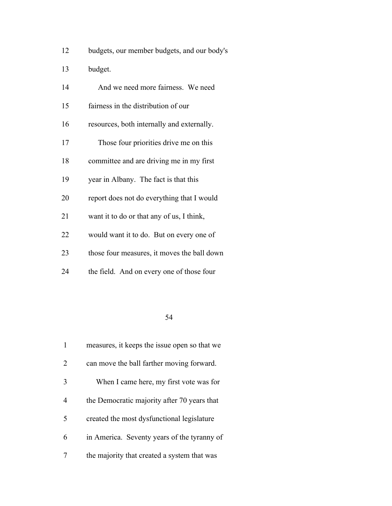| 12 |  | budgets, our member budgets, and our body's |  |  |  |
|----|--|---------------------------------------------|--|--|--|
|----|--|---------------------------------------------|--|--|--|

budget.

| 14 | And we need more fairness. We need          |  |  |  |  |  |
|----|---------------------------------------------|--|--|--|--|--|
| 15 | fairness in the distribution of our         |  |  |  |  |  |
| 16 | resources, both internally and externally.  |  |  |  |  |  |
| 17 | Those four priorities drive me on this      |  |  |  |  |  |
| 18 | committee and are driving me in my first    |  |  |  |  |  |
| 19 | year in Albany. The fact is that this       |  |  |  |  |  |
| 20 | report does not do everything that I would  |  |  |  |  |  |
| 21 | want it to do or that any of us, I think,   |  |  |  |  |  |
| 22 | would want it to do. But on every one of    |  |  |  |  |  |
| 23 | those four measures, it moves the ball down |  |  |  |  |  |
| 24 | the field. And on every one of those four   |  |  |  |  |  |

|   | measures, it keeps the issue open so that we |  |  |  |  |
|---|----------------------------------------------|--|--|--|--|
| 2 | can move the ball farther moving forward.    |  |  |  |  |
| 3 | When I came here, my first vote was for      |  |  |  |  |
| 4 | the Democratic majority after 70 years that  |  |  |  |  |
| 5 | created the most dysfunctional legislature   |  |  |  |  |
| 6 | in America. Seventy years of the tyranny of  |  |  |  |  |
|   | the majority that created a system that was  |  |  |  |  |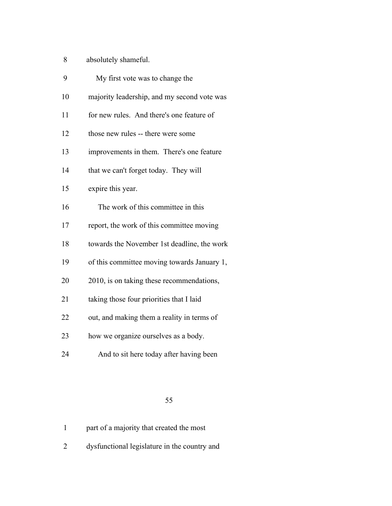- absolutely shameful.
- My first vote was to change the majority leadership, and my second vote was for new rules. And there's one feature of those new rules -- there were some improvements in them. There's one feature 14 that we can't forget today. They will expire this year. The work of this committee in this report, the work of this committee moving towards the November 1st deadline, the work of this committee moving towards January 1, 2010, is on taking these recommendations, taking those four priorities that I laid out, and making them a reality in terms of how we organize ourselves as a body.
- 
- And to sit here today after having been

|  | part of a majority that created the most |  |
|--|------------------------------------------|--|
|--|------------------------------------------|--|

dysfunctional legislature in the country and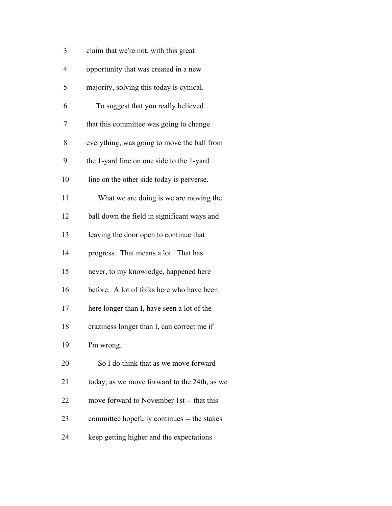| 3              | claim that we're not, with this great        |  |  |  |  |  |
|----------------|----------------------------------------------|--|--|--|--|--|
| $\overline{4}$ | opportunity that was created in a new        |  |  |  |  |  |
| 5              | majority, solving this today is cynical.     |  |  |  |  |  |
| 6              | To suggest that you really believed          |  |  |  |  |  |
| 7              | that this committee was going to change      |  |  |  |  |  |
| 8              | everything, was going to move the ball from  |  |  |  |  |  |
| 9              | the 1-yard line on one side to the 1-yard    |  |  |  |  |  |
| 10             | line on the other side today is perverse.    |  |  |  |  |  |
| 11             | What we are doing is we are moving the       |  |  |  |  |  |
| 12             | ball down the field in significant ways and  |  |  |  |  |  |
| 13             | leaving the door open to continue that       |  |  |  |  |  |
| 14             | progress. That means a lot. That has         |  |  |  |  |  |
| 15             | never, to my knowledge, happened here        |  |  |  |  |  |
| 16             | before. A lot of folks here who have been    |  |  |  |  |  |
| 17             | here longer than I, have seen a lot of the   |  |  |  |  |  |
| 18             | craziness longer than I, can correct me if   |  |  |  |  |  |
| 19             | I'm wrong.                                   |  |  |  |  |  |
| 20             | So I do think that as we move forward        |  |  |  |  |  |
| 21             | today, as we move forward to the 24th, as we |  |  |  |  |  |
| 22             | move forward to November 1st -- that this    |  |  |  |  |  |
| 23             | committee hopefully continues -- the stakes  |  |  |  |  |  |
| 24             | keep getting higher and the expectations     |  |  |  |  |  |
|                |                                              |  |  |  |  |  |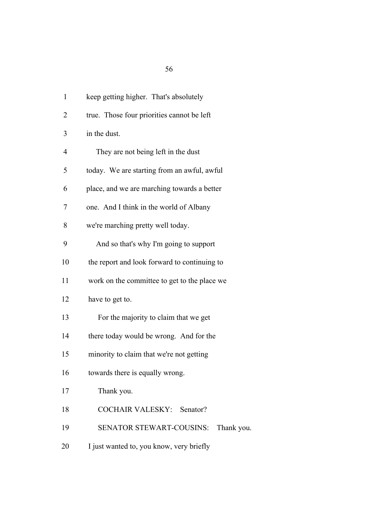| $\mathbf{1}$   | keep getting higher. That's absolutely       |  |  |  |  |  |  |
|----------------|----------------------------------------------|--|--|--|--|--|--|
| 2              | true. Those four priorities cannot be left   |  |  |  |  |  |  |
| 3              | in the dust.                                 |  |  |  |  |  |  |
| $\overline{4}$ | They are not being left in the dust          |  |  |  |  |  |  |
| 5              | today. We are starting from an awful, awful  |  |  |  |  |  |  |
| 6              | place, and we are marching towards a better  |  |  |  |  |  |  |
| 7              | one. And I think in the world of Albany      |  |  |  |  |  |  |
| 8              | we're marching pretty well today.            |  |  |  |  |  |  |
| 9              | And so that's why I'm going to support       |  |  |  |  |  |  |
| 10             | the report and look forward to continuing to |  |  |  |  |  |  |
| 11             | work on the committee to get to the place we |  |  |  |  |  |  |
| 12             | have to get to.                              |  |  |  |  |  |  |
| 13             | For the majority to claim that we get        |  |  |  |  |  |  |
| 14             | there today would be wrong. And for the      |  |  |  |  |  |  |
| 15             | minority to claim that we're not getting     |  |  |  |  |  |  |
| 16             | towards there is equally wrong.              |  |  |  |  |  |  |
| 17             | Thank you.                                   |  |  |  |  |  |  |
| 18             | COCHAIR VALESKY: Senator?                    |  |  |  |  |  |  |
| 19             | SENATOR STEWART-COUSINS: Thank you.          |  |  |  |  |  |  |

20 I just wanted to, you know, very briefly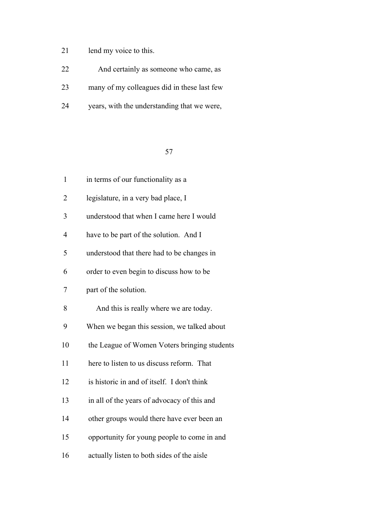# lend my voice to this.

| 22 | And certainly as someone who came, as       |
|----|---------------------------------------------|
| 23 | many of my colleagues did in these last few |
| 24 | years, with the understanding that we were, |

| $\mathbf{1}$   | in terms of our functionality as a           |  |  |  |  |  |
|----------------|----------------------------------------------|--|--|--|--|--|
| $\overline{2}$ | legislature, in a very bad place, I          |  |  |  |  |  |
| 3              | understood that when I came here I would     |  |  |  |  |  |
| $\overline{4}$ | have to be part of the solution. And I       |  |  |  |  |  |
| 5              | understood that there had to be changes in   |  |  |  |  |  |
| 6              | order to even begin to discuss how to be     |  |  |  |  |  |
| 7              | part of the solution.                        |  |  |  |  |  |
| 8              | And this is really where we are today.       |  |  |  |  |  |
| 9              | When we began this session, we talked about  |  |  |  |  |  |
| 10             | the League of Women Voters bringing students |  |  |  |  |  |
| 11             | here to listen to us discuss reform. That    |  |  |  |  |  |
| 12             | is historic in and of itself. I don't think  |  |  |  |  |  |
| 13             | in all of the years of advocacy of this and  |  |  |  |  |  |
| 14             | other groups would there have ever been an   |  |  |  |  |  |
| 15             | opportunity for young people to come in and  |  |  |  |  |  |
| 16             | actually listen to both sides of the aisle   |  |  |  |  |  |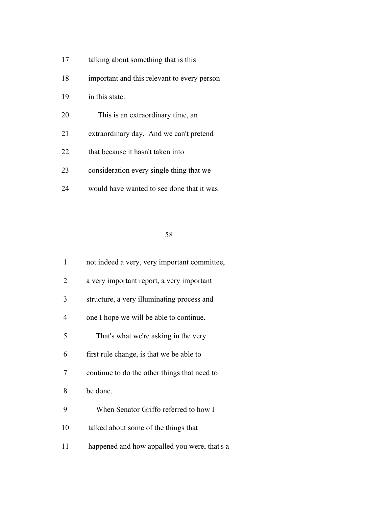- 17 talking about something that is this
- important and this relevant to every person
- in this state.
- This is an extraordinary time, an
- extraordinary day. And we can't pretend
- 22 that because it hasn't taken into
- consideration every single thing that we
- would have wanted to see done that it was

| $\mathbf{1}$ | not indeed a very, very important committee, |  |  |  |  |
|--------------|----------------------------------------------|--|--|--|--|
| 2            | a very important report, a very important    |  |  |  |  |
| 3            | structure, a very illuminating process and   |  |  |  |  |
| 4            | one I hope we will be able to continue.      |  |  |  |  |
| 5            | That's what we're asking in the very         |  |  |  |  |
| 6            | first rule change, is that we be able to     |  |  |  |  |
| 7            | continue to do the other things that need to |  |  |  |  |
| 8            | be done.                                     |  |  |  |  |
| 9            | When Senator Griffo referred to how I        |  |  |  |  |
| 10           | talked about some of the things that         |  |  |  |  |
| 11           | happened and how appalled you were, that's a |  |  |  |  |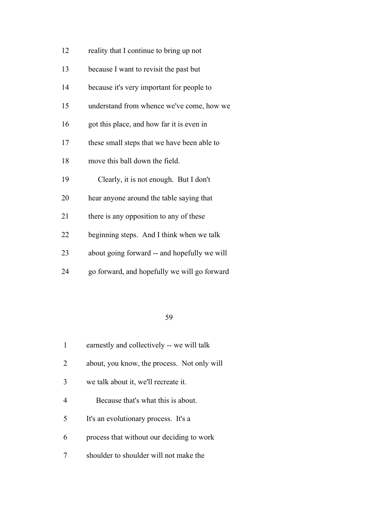| 12 | reality that I continue to bring up not      |  |  |  |  |  |
|----|----------------------------------------------|--|--|--|--|--|
| 13 | because I want to revisit the past but       |  |  |  |  |  |
| 14 | because it's very important for people to    |  |  |  |  |  |
| 15 | understand from whence we've come, how we    |  |  |  |  |  |
| 16 | got this place, and how far it is even in    |  |  |  |  |  |
| 17 | these small steps that we have been able to  |  |  |  |  |  |
| 18 | move this ball down the field.               |  |  |  |  |  |
| 19 | Clearly, it is not enough. But I don't       |  |  |  |  |  |
| 20 | hear anyone around the table saying that     |  |  |  |  |  |
| 21 | there is any opposition to any of these      |  |  |  |  |  |
| 22 | beginning steps. And I think when we talk    |  |  |  |  |  |
| 23 | about going forward -- and hopefully we will |  |  |  |  |  |
| 24 | go forward, and hopefully we will go forward |  |  |  |  |  |

|   | earnestly and collectively -- we will talk  |  |  |  |  |
|---|---------------------------------------------|--|--|--|--|
| 2 | about, you know, the process. Not only will |  |  |  |  |
| 3 | we talk about it, we'll recreate it.        |  |  |  |  |
| 4 | Because that's what this is about.          |  |  |  |  |
| 5 | It's an evolutionary process. It's a        |  |  |  |  |
| 6 | process that without our deciding to work   |  |  |  |  |
|   | shoulder to shoulder will not make the      |  |  |  |  |
|   |                                             |  |  |  |  |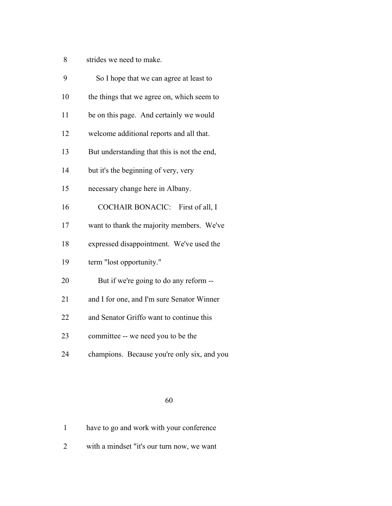strides we need to make.

| 9  | So I hope that we can agree at least to     |  |  |  |  |  |
|----|---------------------------------------------|--|--|--|--|--|
| 10 | the things that we agree on, which seem to  |  |  |  |  |  |
| 11 | be on this page. And certainly we would     |  |  |  |  |  |
| 12 | welcome additional reports and all that.    |  |  |  |  |  |
| 13 | But understanding that this is not the end, |  |  |  |  |  |
| 14 | but it's the beginning of very, very        |  |  |  |  |  |
| 15 | necessary change here in Albany.            |  |  |  |  |  |
| 16 | COCHAIR BONACIC: First of all, I            |  |  |  |  |  |
| 17 | want to thank the majority members. We've   |  |  |  |  |  |
| 18 | expressed disappointment. We've used the    |  |  |  |  |  |
| 19 | term "lost opportunity."                    |  |  |  |  |  |
| 20 | But if we're going to do any reform --      |  |  |  |  |  |
| 21 | and I for one, and I'm sure Senator Winner  |  |  |  |  |  |
| 22 | and Senator Griffo want to continue this    |  |  |  |  |  |
| 23 | committee -- we need you to be the          |  |  |  |  |  |
| 24 | champions. Because you're only six, and you |  |  |  |  |  |
|    |                                             |  |  |  |  |  |

### 

|  |  |  |  |  | have to go and work with your conference |
|--|--|--|--|--|------------------------------------------|
|--|--|--|--|--|------------------------------------------|

with a mindset "it's our turn now, we want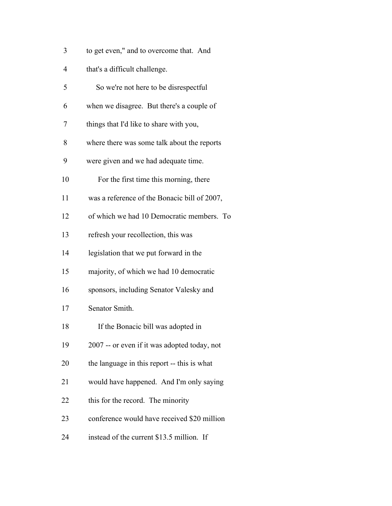| 3  | to get even," and to overcome that. And      |
|----|----------------------------------------------|
| 4  | that's a difficult challenge.                |
| 5  | So we're not here to be disrespectful        |
| 6  | when we disagree. But there's a couple of    |
| 7  | things that I'd like to share with you,      |
| 8  | where there was some talk about the reports  |
| 9  | were given and we had adequate time.         |
| 10 | For the first time this morning, there       |
| 11 | was a reference of the Bonacic bill of 2007, |
| 12 | of which we had 10 Democratic members. To    |
| 13 | refresh your recollection, this was          |
| 14 | legislation that we put forward in the       |
| 15 | majority, of which we had 10 democratic      |
| 16 | sponsors, including Senator Valesky and      |
| 17 | Senator Smith.                               |
| 18 | If the Bonacic bill was adopted in           |
| 19 | 2007 -- or even if it was adopted today, not |
| 20 | the language in this report -- this is what  |
| 21 | would have happened. And I'm only saying     |
| 22 | this for the record. The minority            |
| 23 | conference would have received \$20 million  |
| 24 | instead of the current \$13.5 million. If    |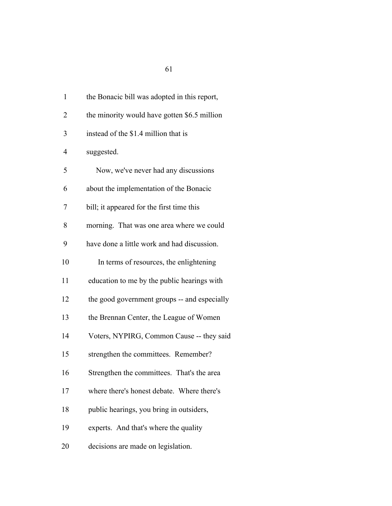| $\mathbf{1}$   | the Bonacic bill was adopted in this report, |
|----------------|----------------------------------------------|
| $\overline{2}$ | the minority would have gotten \$6.5 million |
| 3              | instead of the \$1.4 million that is         |
| $\overline{4}$ | suggested.                                   |
| 5              | Now, we've never had any discussions         |
| 6              | about the implementation of the Bonacic      |
| 7              | bill; it appeared for the first time this    |
| 8              | morning. That was one area where we could    |
| 9              | have done a little work and had discussion.  |
| 10             | In terms of resources, the enlightening      |
| 11             | education to me by the public hearings with  |
| 12             | the good government groups -- and especially |
| 13             | the Brennan Center, the League of Women      |
| 14             | Voters, NYPIRG, Common Cause -- they said    |
| 15             | strengthen the committees. Remember?         |
| 16             | Strengthen the committees. That's the area   |
| 17             | where there's honest debate. Where there's   |
| 18             | public hearings, you bring in outsiders,     |
| 19             | experts. And that's where the quality        |
| 20             | decisions are made on legislation.           |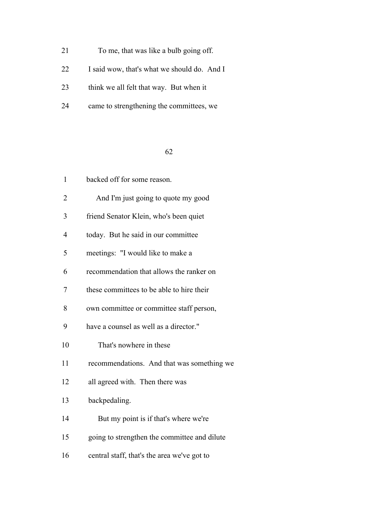|  | 21 |  | To me, that was like a bulb going off. |  |  |  |  |
|--|----|--|----------------------------------------|--|--|--|--|
|--|----|--|----------------------------------------|--|--|--|--|

I said wow, that's what we should do. And I

- 23 think we all felt that way. But when it
- came to strengthening the committees, we

| $\mathbf{1}$ | backed off for some reason.                  |
|--------------|----------------------------------------------|
| 2            | And I'm just going to quote my good          |
| 3            | friend Senator Klein, who's been quiet       |
| 4            | today. But he said in our committee          |
| 5            | meetings: "I would like to make a            |
| 6            | recommendation that allows the ranker on     |
| 7            | these committees to be able to hire their    |
| 8            | own committee or committee staff person,     |
| 9            | have a counsel as well as a director."       |
| 10           | That's nowhere in these                      |
| 11           | recommendations. And that was something we   |
| 12           | all agreed with. Then there was              |
| 13           | backpedaling.                                |
| 14           | But my point is if that's where we're        |
| 15           | going to strengthen the committee and dilute |
| 16           | central staff, that's the area we've got to  |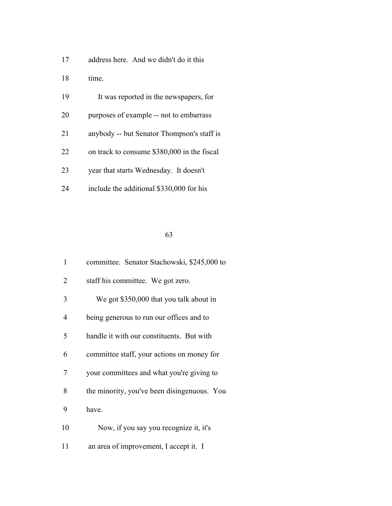| address here. And we didn't do it this | 17 |  |  |  |  |  |  |
|----------------------------------------|----|--|--|--|--|--|--|
|----------------------------------------|----|--|--|--|--|--|--|

time.

|  | 19 | It was reported in the newspapers, for |  |
|--|----|----------------------------------------|--|
|--|----|----------------------------------------|--|

- purposes of example -- not to embarrass
- anybody -- but Senator Thompson's staff is
- on track to consume \$380,000 in the fiscal
- year that starts Wednesday. It doesn't
- include the additional \$330,000 for his

| $\mathbf{1}$ | committee. Senator Stachowski, \$245,000 to |
|--------------|---------------------------------------------|
| 2            | staff his committee. We got zero.           |
| 3            | We got \$350,000 that you talk about in     |
| 4            | being generous to run our offices and to    |
| 5            | handle it with our constituents. But with   |
| 6            | committee staff, your actions on money for  |
| 7            | your committees and what you're giving to   |
| 8            | the minority, you've been disingenuous. You |
| 9            | have.                                       |
| 10           | Now, if you say you recognize it, it's      |
| 11           | an area of improvement, I accept it. I      |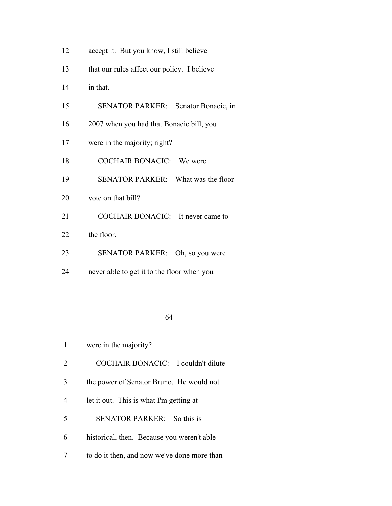| 12 | accept it. But you know, I still believe |  |
|----|------------------------------------------|--|
|----|------------------------------------------|--|

- that our rules affect our policy. I believe
- in that.
- SENATOR PARKER: Senator Bonacic, in
- 2007 when you had that Bonacic bill, you
- were in the majority; right?
- COCHAIR BONACIC: We were.
- SENATOR PARKER: What was the floor
- 20 vote on that bill?
- 21 COCHAIR BONACIC: It never came to
- 22 the floor.
- SENATOR PARKER: Oh, so you were
- never able to get it to the floor when you

- were in the majority?
- COCHAIR BONACIC: I couldn't dilute
- the power of Senator Bruno. He would not
- let it out. This is what I'm getting at --
- SENATOR PARKER: So this is
- historical, then. Because you weren't able
- to do it then, and now we've done more than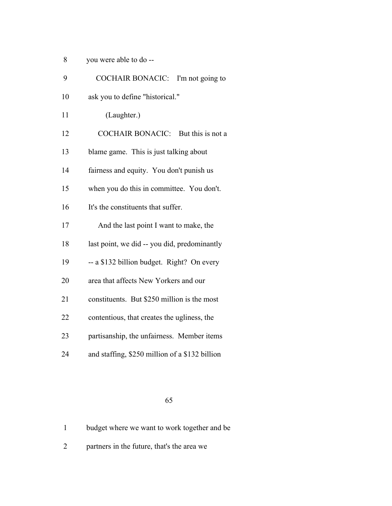| 8 | you were able to do -- |  |
|---|------------------------|--|
|---|------------------------|--|

| 9  | COCHAIR BONACIC: I'm not going to              |
|----|------------------------------------------------|
| 10 | ask you to define "historical."                |
| 11 | (Laughter.)                                    |
| 12 | COCHAIR BONACIC: But this is not a             |
| 13 | blame game. This is just talking about         |
| 14 | fairness and equity. You don't punish us       |
| 15 | when you do this in committee. You don't.      |
| 16 | It's the constituents that suffer.             |
| 17 | And the last point I want to make, the         |
| 18 | last point, we did -- you did, predominantly   |
| 19 | -- a \$132 billion budget. Right? On every     |
| 20 | area that affects New Yorkers and our          |
| 21 | constituents. But \$250 million is the most    |
| 22 | contentious, that creates the ugliness, the    |
| 23 | partisanship, the unfairness. Member items     |
| 24 | and staffing, \$250 million of a \$132 billion |
|    |                                                |

|  | budget where we want to work together and be |
|--|----------------------------------------------|
|  |                                              |

partners in the future, that's the area we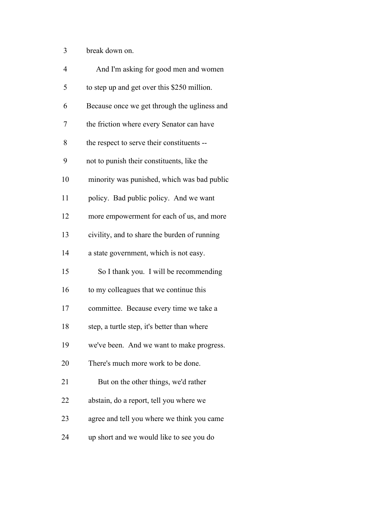break down on.

| $\overline{4}$ | And I'm asking for good men and women        |
|----------------|----------------------------------------------|
| 5              | to step up and get over this \$250 million.  |
| 6              | Because once we get through the ugliness and |
| 7              | the friction where every Senator can have    |
| 8              | the respect to serve their constituents --   |
| 9              | not to punish their constituents, like the   |
| 10             | minority was punished, which was bad public  |
| 11             | policy. Bad public policy. And we want       |
| 12             | more empowerment for each of us, and more    |
| 13             | civility, and to share the burden of running |
| 14             | a state government, which is not easy.       |
| 15             | So I thank you. I will be recommending       |
| 16             | to my colleagues that we continue this       |
| 17             | committee. Because every time we take a      |
| 18             | step, a turtle step, it's better than where  |
| 19             | we've been. And we want to make progress.    |
| 20             | There's much more work to be done.           |
| 21             | But on the other things, we'd rather         |
| 22             | abstain, do a report, tell you where we      |
| 23             | agree and tell you where we think you came   |
| 24             | up short and we would like to see you do     |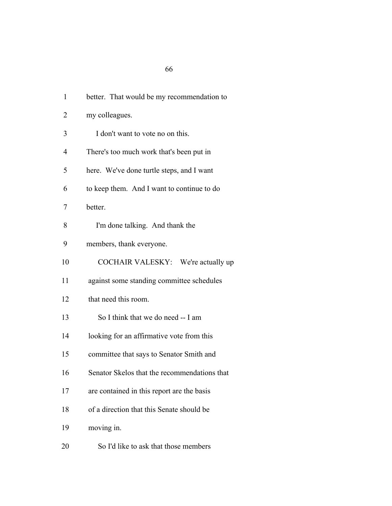| 1              | better. That would be my recommendation to   |
|----------------|----------------------------------------------|
| $\overline{2}$ | my colleagues.                               |
| 3              | I don't want to vote no on this.             |
| 4              | There's too much work that's been put in     |
| 5              | here. We've done turtle steps, and I want    |
| 6              | to keep them. And I want to continue to do   |
| 7              | better.                                      |
| 8              | I'm done talking. And thank the              |
| 9              | members, thank everyone.                     |
| 10             | COCHAIR VALESKY: We're actually up           |
| 11             | against some standing committee schedules    |
| 12             | that need this room.                         |
| 13             | So I think that we do need -- I am           |
| 14             | looking for an affirmative vote from this    |
| 15             | committee that says to Senator Smith and     |
| 16             | Senator Skelos that the recommendations that |
| 17             | are contained in this report are the basis   |
| 18             | of a direction that this Senate should be    |
| 19             | moving in.                                   |
|                |                                              |

So I'd like to ask that those members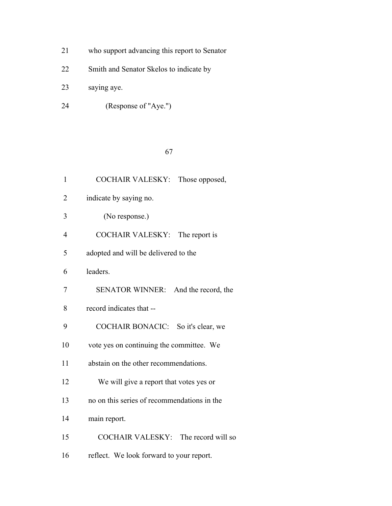- who support advancing this report to Senator
- Smith and Senator Skelos to indicate by
- saying aye.
- (Response of "Aye.")

| $\mathbf{1}$   | COCHAIR VALESKY: Those opposed,             |
|----------------|---------------------------------------------|
| $\overline{2}$ | indicate by saying no.                      |
| 3              | (No response.)                              |
| $\overline{4}$ | COCHAIR VALESKY: The report is              |
| 5              | adopted and will be delivered to the        |
| 6              | leaders.                                    |
| 7              | SENATOR WINNER: And the record, the         |
| 8              | record indicates that --                    |
| 9              | COCHAIR BONACIC: So it's clear, we          |
| 10             | vote yes on continuing the committee. We    |
| 11             | abstain on the other recommendations.       |
| 12             | We will give a report that votes yes or     |
| 13             | no on this series of recommendations in the |
| 14             | main report.                                |
| 15             | COCHAIR VALESKY: The record will so         |
| 16             | reflect. We look forward to your report.    |